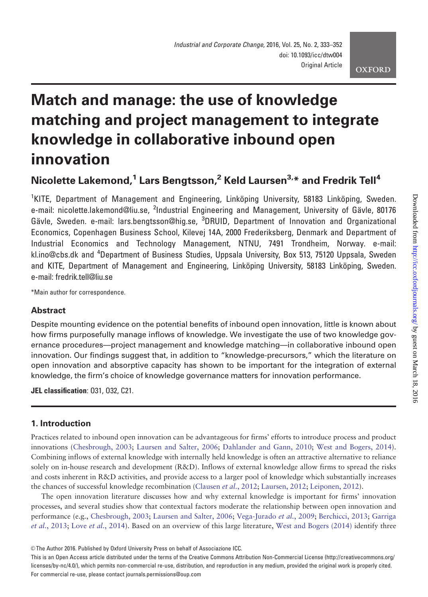## **OXFORD**

# Match and manage: the use of knowledge matching and project management to integrate knowledge in collaborative inbound open innovation

# Nicolette Lakemond,<sup>1</sup> Lars Bengtsson,<sup>2</sup> Keld Laursen<sup>3,\*</sup> and Fredrik Tell<sup>4</sup>

<sup>1</sup>KITE, Department of Management and Engineering, Linköping University, 58183 Linköping, Sweden. e-mail: nicolette.lakemond@liu.se, <sup>2</sup>Industrial Engineering and Management, University of Gävle, 80176 Gävle, Sweden. e-mail: lars.bengtsson@hig.se, <sup>3</sup>DRUID, Department of Innovation and Organizational Economics, Copenhagen Business School, Kilevej 14A, 2000 Frederiksberg, Denmark and Department of Industrial Economics and Technology Management, NTNU, 7491 Trondheim, Norway. e-mail: kl.ino@cbs.dk and <sup>4</sup>Department of Business Studies, Uppsala University, Box 513, 75120 Uppsala, Sweden and KITE, Department of Management and Engineering, Linköping University, 58183 Linköping, Sweden. e-mail: fredrik.tell@liu.se

\*Main author for correspondence.

## Abstract

Despite mounting evidence on the potential benefits of inbound open innovation, little is known about how firms purposefully manage inflows of knowledge. We investigate the use of two knowledge governance procedures—project management and knowledge matching—in collaborative inbound open innovation. Our findings suggest that, in addition to "knowledge-precursors," which the literature on open innovation and absorptive capacity has shown to be important for the integration of external knowledge, the firm's choice of knowledge governance matters for innovation performance.

JEL classification: O31, O32, C21.

## 1. Introduction

Practices related to inbound open innovation can be advantageous for firms' efforts to introduce process and product innovations [\(Chesbrough, 2003;](#page-15-0) [Laursen and Salter, 2006](#page-16-0); [Dahlander and Gann, 2010;](#page-15-0) [West and Bogers, 2014\)](#page-17-0). Combining inflows of external knowledge with internally held knowledge is often an attractive alternative to reliance solely on in-house research and development (R&D). Inflows of external knowledge allow firms to spread the risks and costs inherent in R&D activities, and provide access to a larger pool of knowledge which substantially increases the chances of successful knowledge recombination ([Clausen](#page-15-0) et al., 2012; [Laursen, 2012](#page-16-0); [Leiponen, 2012\)](#page-16-0).

The open innovation literature discusses how and why external knowledge is important for firms' innovation processes, and several studies show that contextual factors moderate the relationship between open innovation and performance (e.g., [Chesbrough, 2003;](#page-15-0) [Laursen and Salter, 2006](#page-16-0); [Vega-Jurado](#page-17-0) et al., 2009; [Berchicci, 2013;](#page-14-0) [Garriga](#page-15-0) et al.[, 2013](#page-15-0); Love et al.[, 2014\)](#page-16-0). Based on an overview of this large literature, [West and Bogers \(2014\)](#page-17-0) identify three

<sup>©</sup> The Author 2016. Published by Oxford University Press on behalf of Associazione ICC.

This is an Open Access article distributed under the terms of the Creative Commons Attribution Non-Commercial License (http://creativecommons.org/ licenses/by-nc/4.0/), which permits non-commercial re-use, distribution, and reproduction in any medium, provided the original work is properly cited. For commercial re-use, please contact journals.permissions@oup.com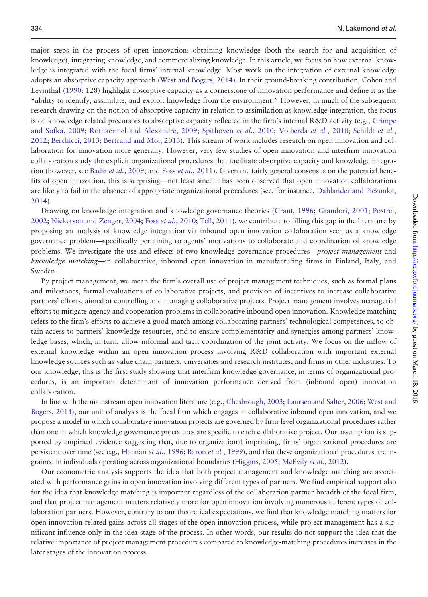major steps in the process of open innovation: obtaining knowledge (both the search for and acquisition of knowledge), integrating knowledge, and commercializing knowledge. In this article, we focus on how external knowledge is integrated with the focal firms' internal knowledge. Most work on the integration of external knowledge adopts an absorptive capacity approach ([West and Bogers, 2014\)](#page-17-0). In their ground-breaking contribution, Cohen and Levinthal [\(1990:](#page-15-0) 128) highlight absorptive capacity as a cornerstone of innovation performance and define it as the "ability to identify, assimilate, and exploit knowledge from the environment." However, in much of the subsequent research drawing on the notion of absorptive capacity in relation to assimilation as knowledge integration, the focus is on knowledge-related precursors to absorptive capacity reflected in the firm's internal R&D activity (e.g., [Grimpe](#page-16-0) [and Sofka, 2009;](#page-16-0) [Rothaermel and Alexandre, 2009](#page-17-0); [Spithoven](#page-17-0) et al., 2010; [Volberda](#page-17-0) et al., 2010; [Schildt](#page-17-0) et al., [2012;](#page-17-0) [Berchicci, 2013](#page-14-0); [Bertrand and Mol, 2013](#page-14-0)). This stream of work includes research on open innovation and collaboration for innovation more generally. However, very few studies of open innovation and interfirm innovation collaboration study the explicit organizational procedures that facilitate absorptive capacity and knowledge integra-tion (however, see Badir et al.[, 2009](#page-14-0); and Foss et al.[, 2011](#page-15-0)). Given the fairly general consensus on the potential benefits of open innovation, this is surprising—not least since it has been observed that open innovation collaborations are likely to fail in the absence of appropriate organizational procedures (see, for instance, [Dahlander and Piezunka,](#page-15-0) [2014\)](#page-15-0).

Drawing on knowledge integration and knowledge governance theories [\(Grant, 1996;](#page-15-0) [Grandori, 2001](#page-15-0); [Postrel,](#page-17-0) [2002;](#page-17-0) [Nickerson and Zenger, 2004;](#page-16-0) Foss et al.[, 2010;](#page-15-0) [Tell, 2011\)](#page-17-0), we contribute to filling this gap in the literature by proposing an analysis of knowledge integration via inbound open innovation collaboration seen as a knowledge governance problem—specifically pertaining to agents' motivations to collaborate and coordination of knowledge problems. We investigate the use and effects of two knowledge governance procedures—*project management* and knowledge matching—in collaborative, inbound open innovation in manufacturing firms in Finland, Italy, and Sweden.

By project management, we mean the firm's overall use of project management techniques, such as formal plans and milestones, formal evaluations of collaborative projects, and provision of incentives to increase collaborative partners' efforts, aimed at controlling and managing collaborative projects. Project management involves managerial efforts to mitigate agency and cooperation problems in collaborative inbound open innovation. Knowledge matching refers to the firm's efforts to achieve a good match among collaborating partners' technological competences, to obtain access to partners' knowledge resources, and to ensure complementarity and synergies among partners' knowledge bases, which, in turn, allow informal and tacit coordination of the joint activity. We focus on the inflow of external knowledge within an open innovation process involving R&D collaboration with important external knowledge sources such as value chain partners, universities and research institutes, and firms in other industries. To our knowledge, this is the first study showing that interfirm knowledge governance, in terms of organizational procedures, is an important determinant of innovation performance derived from (inbound open) innovation collaboration.

In line with the mainstream open innovation literature (e.g., [Chesbrough, 2003](#page-15-0); [Laursen and Salter, 2006](#page-16-0); [West and](#page-17-0) [Bogers, 2014\)](#page-17-0), our unit of analysis is the focal firm which engages in collaborative inbound open innovation, and we propose a model in which collaborative innovation projects are governed by firm-level organizational procedures rather than one in which knowledge governance procedures are specific to each collaborative project. Our assumption is supported by empirical evidence suggesting that, due to organizational imprinting, firms' organizational procedures are persistent over time (see e.g., [Hannan](#page-16-0) et al., 1996; Baron et al.[, 1999](#page-14-0)), and that these organizational procedures are in-grained in individuals operating across organizational boundaries ([Higgins, 2005](#page-16-0); [McEvily](#page-16-0) et al., 2012).

Our econometric analysis supports the idea that both project management and knowledge matching are associated with performance gains in open innovation involving different types of partners. We find empirical support also for the idea that knowledge matching is important regardless of the collaboration partner breadth of the focal firm, and that project management matters relatively more for open innovation involving numerous different types of collaboration partners. However, contrary to our theoretical expectations, we find that knowledge matching matters for open innovation-related gains across all stages of the open innovation process, while project management has a significant influence only in the idea stage of the process. In other words, our results do not support the idea that the relative importance of project management procedures compared to knowledge-matching procedures increases in the later stages of the innovation process.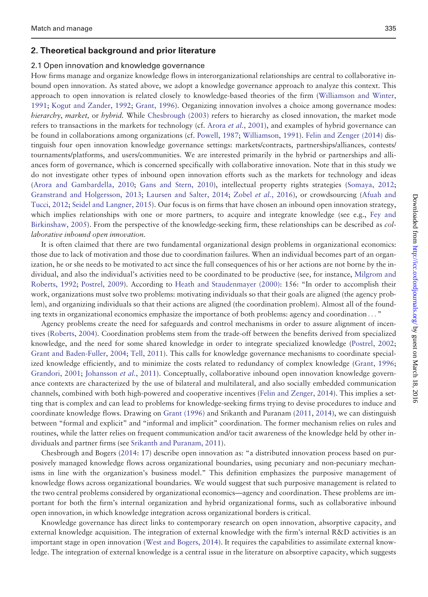#### 2. Theoretical background and prior literature

#### 2.1 Open innovation and knowledge governance

How firms manage and organize knowledge flows in interorganizational relationships are central to collaborative inbound open innovation. As stated above, we adopt a knowledge governance approach to analyze this context. This approach to open innovation is related closely to knowledge-based theories of the firm ([Williamson and Winter,](#page-17-0) [1991;](#page-17-0) [Kogut and Zander, 1992;](#page-16-0) [Grant, 1996\)](#page-15-0). Organizing innovation involves a choice among governance modes: hierarchy, market, or hybrid. While [Chesbrough \(2003\)](#page-15-0) refers to hierarchy as closed innovation, the market mode refers to transactions in the markets for technology (cf. Arora et al.[, 2001](#page-14-0)), and examples of hybrid governance can be found in collaborations among organizations (cf. [Powell, 1987](#page-17-0); [Williamson, 1991](#page-17-0)). [Felin and Zenger \(2014\)](#page-15-0) distinguish four open innovation knowledge governance settings: markets/contracts, partnerships/alliances, contests/ tournaments/platforms, and users/communities. We are interested primarily in the hybrid or partnerships and alliances form of governance, which is concerned specifically with collaborative innovation. Note that in this study we do not investigate other types of inbound open innovation efforts such as the markets for technology and ideas [\(Arora and Gambardella, 2010](#page-14-0); [Gans and Stern, 2010\)](#page-15-0), intellectual property rights strategies [\(Somaya, 2012;](#page-17-0) [Granstrand and Holgersson, 2013;](#page-15-0) [Laursen and Salter, 2014](#page-16-0); Zobel et al.[, 2016\)](#page-17-0), or crowdsourcing [\(Afuah and](#page-14-0) [Tucci, 2012;](#page-14-0) [Seidel and Langner, 2015\)](#page-17-0). Our focus is on firms that have chosen an inbound open innovation strategy, which implies relationships with one or more partners, to acquire and integrate knowledge (see e.g., [Fey and](#page-15-0) [Birkinshaw, 2005](#page-15-0)). From the perspective of the knowledge-seeking firm, these relationships can be described as collaborative inbound open innovation.

It is often claimed that there are two fundamental organizational design problems in organizational economics: those due to lack of motivation and those due to coordination failures. When an individual becomes part of an organization, he or she needs to be motivated to act since the full consequences of his or her actions are not borne by the individual, and also the individual's activities need to be coordinated to be productive (see, for instance, [Milgrom and](#page-16-0) [Roberts, 1992](#page-16-0); [Postrel, 2009](#page-17-0)). According to [Heath and Staudenmayer \(2000\)](#page-16-0): 156: "In order to accomplish their work, organizations must solve two problems: motivating individuals so that their goals are aligned (the agency problem), and organizing individuals so that their actions are aligned (the coordination problem). Almost all of the founding texts in organizational economics emphasize the importance of both problems: agency and coordination ... "

Agency problems create the need for safeguards and control mechanisms in order to assure alignment of incentives [\(Roberts, 2004\)](#page-17-0). Coordination problems stem from the trade-off between the benefits derived from specialized knowledge, and the need for some shared knowledge in order to integrate specialized knowledge [\(Postrel, 2002;](#page-17-0) [Grant and Baden-Fuller, 2004](#page-15-0); [Tell, 2011](#page-17-0)). This calls for knowledge governance mechanisms to coordinate specialized knowledge efficiently, and to minimize the costs related to redundancy of complex knowledge ([Grant, 1996;](#page-15-0) [Grandori, 2001](#page-15-0); [Johansson](#page-16-0) et al., 2011). Conceptually, collaborative inbound open innovation knowledge governance contexts are characterized by the use of bilateral and multilateral, and also socially embedded communication channels, combined with both high-powered and cooperative incentives [\(Felin and Zenger, 2014\)](#page-15-0). This implies a setting that is complex and can lead to problems for knowledge-seeking firms trying to devise procedures to induce and coordinate knowledge flows. Drawing on [Grant \(1996\)](#page-15-0) and Srikanth and Puranam ([2011,](#page-17-0) [2014](#page-17-0)), we can distinguish between "formal and explicit" and "informal and implicit" coordination. The former mechanism relies on rules and routines, while the latter relies on frequent communication and/or tacit awareness of the knowledge held by other individuals and partner firms (see [Srikanth and Puranam, 2011](#page-17-0)).

Chesbrough and Bogers ([2014:](#page-15-0) 17) describe open innovation as: "a distributed innovation process based on purposively managed knowledge flows across organizational boundaries, using pecuniary and non-pecuniary mechanisms in line with the organization's business model." This definition emphasizes the purposive management of knowledge flows across organizational boundaries. We would suggest that such purposive management is related to the two central problems considered by organizational economics—agency and coordination. These problems are important for both the firm's internal organization and hybrid organizational forms, such as collaborative inbound open innovation, in which knowledge integration across organizational borders is critical.

Knowledge governance has direct links to contemporary research on open innovation, absorptive capacity, and external knowledge acquisition. The integration of external knowledge with the firm's internal R&D activities is an important stage in open innovation [\(West and Bogers, 2014\)](#page-17-0). It requires the capabilities to assimilate external knowledge. The integration of external knowledge is a central issue in the literature on absorptive capacity, which suggests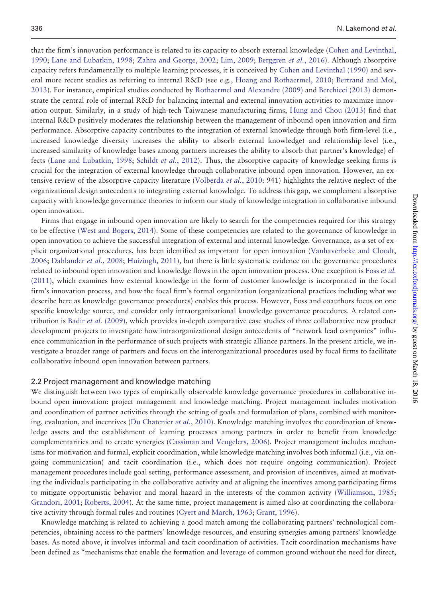that the firm's innovation performance is related to its capacity to absorb external knowledge [\(Cohen and Levinthal,](#page-15-0) [1990;](#page-15-0) [Lane and Lubatkin, 1998;](#page-16-0) [Zahra and George, 2002](#page-17-0); [Lim, 2009;](#page-16-0) [Berggren](#page-14-0) et al., 2016). Although absorptive capacity refers fundamentally to multiple learning processes, it is conceived by [Cohen and Levinthal \(1990\)](#page-15-0) and several more recent studies as referring to internal R&D (see e.g., [Hoang and Rothaermel, 2010;](#page-16-0) [Bertrand and Mol,](#page-14-0) [2013\)](#page-14-0). For instance, empirical studies conducted by [Rothaermel and Alexandre \(2009\)](#page-17-0) and [Berchicci \(2013\)](#page-14-0) demonstrate the central role of internal R&D for balancing internal and external innovation activities to maximize innovation output. Similarly, in a study of high-tech Taiwanese manufacturing firms, [Hung and Chou \(2013\)](#page-16-0) find that internal R&D positively moderates the relationship between the management of inbound open innovation and firm performance. Absorptive capacity contributes to the integration of external knowledge through both firm-level (i.e., increased knowledge diversity increases the ability to absorb external knowledge) and relationship-level (i.e., increased similarity of knowledge bases among partners increases the ability to absorb that partner's knowledge) ef-fects ([Lane and Lubatkin, 1998](#page-16-0); Schildt *et al.*[, 2012\)](#page-17-0). Thus, the absorptive capacity of knowledge-seeking firms is crucial for the integration of external knowledge through collaborative inbound open innovation. However, an ex-tensive review of the absorptive capacity literature [\(Volberda](#page-17-0) *et al.*, 2010: 941) highlights the relative neglect of the organizational design antecedents to integrating external knowledge. To address this gap, we complement absorptive capacity with knowledge governance theories to inform our study of knowledge integration in collaborative inbound open innovation.

Firms that engage in inbound open innovation are likely to search for the competencies required for this strategy to be effective [\(West and Bogers, 2014](#page-17-0)). Some of these competencies are related to the governance of knowledge in open innovation to achieve the successful integration of external and internal knowledge. Governance, as a set of explicit organizational procedures, has been identified as important for open innovation [\(Vanhaverbeke and Cloodt,](#page-17-0) [2006;](#page-17-0) [Dahlander](#page-15-0) et al., 2008; [Huizingh, 2011](#page-16-0)), but there is little systematic evidence on the governance procedures related to inbound open innovation and knowledge flows in the open innovation process. One exception is Foss [et al.](#page-15-0) [\(2011\),](#page-15-0) which examines how external knowledge in the form of customer knowledge is incorporated in the focal firm's innovation process, and how the focal firm's formal organization (organizational practices including what we describe here as knowledge governance procedures) enables this process. However, Foss and coauthors focus on one specific knowledge source, and consider only intraorganizational knowledge governance procedures. A related contribution is Badir *et al.* [\(2009\)](#page-14-0), which provides in-depth comparative case studies of three collaborative new product development projects to investigate how intraorganizational design antecedents of "network lead companies" influence communication in the performance of such projects with strategic alliance partners. In the present article, we investigate a broader range of partners and focus on the interorganizational procedures used by focal firms to facilitate collaborative inbound open innovation between partners.

#### 2.2 Project management and knowledge matching

We distinguish between two types of empirically observable knowledge governance procedures in collaborative inbound open innovation: project management and knowledge matching. Project management includes motivation and coordination of partner activities through the setting of goals and formulation of plans, combined with monitor-ing, evaluation, and incentives ([Du Chatenier](#page-15-0) et al., 2010). Knowledge matching involves the coordination of knowledge assets and the establishment of learning processes among partners in order to benefit from knowledge complementarities and to create synergies [\(Cassiman and Veugelers, 2006\)](#page-15-0). Project management includes mechanisms for motivation and formal, explicit coordination, while knowledge matching involves both informal (i.e., via ongoing communication) and tacit coordination (i.e., which does not require ongoing communication). Project management procedures include goal setting, performance assessment, and provision of incentives, aimed at motivating the individuals participating in the collaborative activity and at aligning the incentives among participating firms to mitigate opportunistic behavior and moral hazard in the interests of the common activity [\(Williamson, 1985;](#page-17-0) [Grandori, 2001;](#page-15-0) [Roberts, 2004\)](#page-17-0). At the same time, project management is aimed also at coordinating the collaborative activity through formal rules and routines ([Cyert and March, 1963;](#page-15-0) [Grant, 1996\)](#page-15-0).

Knowledge matching is related to achieving a good match among the collaborating partners' technological competencies, obtaining access to the partners' knowledge resources, and ensuring synergies among partners' knowledge bases. As noted above, it involves informal and tacit coordination of activities. Tacit coordination mechanisms have been defined as "mechanisms that enable the formation and leverage of common ground without the need for direct,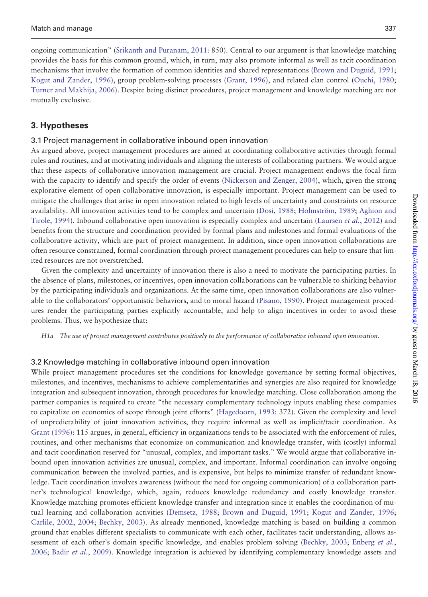ongoing communication" [\(Srikanth and Puranam, 2011:](#page-17-0) 850). Central to our argument is that knowledge matching provides the basis for this common ground, which, in turn, may also promote informal as well as tacit coordination mechanisms that involve the formation of common identities and shared representations ([Brown and Duguid, 1991;](#page-14-0) [Kogut and Zander, 1996](#page-16-0)), group problem-solving processes [\(Grant, 1996\)](#page-15-0), and related clan control [\(Ouchi, 1980;](#page-17-0) [Turner and Makhija, 2006\)](#page-17-0). Despite being distinct procedures, project management and knowledge matching are not mutually exclusive.

## 3. Hypotheses

#### 3.1 Project management in collaborative inbound open innovation

As argued above, project management procedures are aimed at coordinating collaborative activities through formal rules and routines, and at motivating individuals and aligning the interests of collaborating partners. We would argue that these aspects of collaborative innovation management are crucial. Project management endows the focal firm with the capacity to identify and specify the order of events ([Nickerson and Zenger, 2004](#page-16-0)), which, given the strong explorative element of open collaborative innovation, is especially important. Project management can be used to mitigate the challenges that arise in open innovation related to high levels of uncertainty and constraints on resource availability. All innovation activities tend to be complex and uncertain [\(Dosi, 1988;](#page-15-0) Holmström, 1989; [Aghion and](#page-14-0) [Tirole, 1994\)](#page-14-0). Inbound collaborative open innovation is especially complex and uncertain [\(Laursen](#page-16-0) et al., 2012) and benefits from the structure and coordination provided by formal plans and milestones and formal evaluations of the collaborative activity, which are part of project management. In addition, since open innovation collaborations are often resource constrained, formal coordination through project management procedures can help to ensure that limited resources are not overstretched.

Given the complexity and uncertainty of innovation there is also a need to motivate the participating parties. In the absence of plans, milestones, or incentives, open innovation collaborations can be vulnerable to shirking behavior by the participating individuals and organizations. At the same time, open innovation collaborations are also vulnerable to the collaborators' opportunistic behaviors, and to moral hazard [\(Pisano, 1990\)](#page-17-0). Project management procedures render the participating parties explicitly accountable, and help to align incentives in order to avoid these problems. Thus, we hypothesize that:

H1a The use of project management contributes positively to the performance of collaborative inbound open innovation.

#### 3.2 Knowledge matching in collaborative inbound open innovation

While project management procedures set the conditions for knowledge governance by setting formal objectives, milestones, and incentives, mechanisms to achieve complementarities and synergies are also required for knowledge integration and subsequent innovation, through procedures for knowledge matching. Close collaboration among the partner companies is required to create "the necessary complementary technology inputs enabling these companies to capitalize on economies of scope through joint efforts" [\(Hagedoorn, 1993](#page-16-0): 372). Given the complexity and level of unpredictability of joint innovation activities, they require informal as well as implicit/tacit coordination. As [Grant \(1996\):](#page-15-0) 115 argues, in general, efficiency in organizations tends to be associated with the enforcement of rules, routines, and other mechanisms that economize on communication and knowledge transfer, with (costly) informal and tacit coordination reserved for "unusual, complex, and important tasks." We would argue that collaborative inbound open innovation activities are unusual, complex, and important. Informal coordination can involve ongoing communication between the involved parties, and is expensive, but helps to minimize transfer of redundant knowledge. Tacit coordination involves awareness (without the need for ongoing communication) of a collaboration partner's technological knowledge, which, again, reduces knowledge redundancy and costly knowledge transfer. Knowledge matching promotes efficient knowledge transfer and integration since it enables the coordination of mutual learning and collaboration activities [\(Demsetz, 1988](#page-15-0); [Brown and Duguid, 1991;](#page-14-0) [Kogut and Zander, 1996;](#page-16-0) [Carlile, 2002](#page-15-0), [2004;](#page-15-0) [Bechky, 2003\)](#page-14-0). As already mentioned, knowledge matching is based on building a common ground that enables different specialists to communicate with each other, facilitates tacit understanding, allows as-sessment of each other's domain specific knowledge, and enables problem solving ([Bechky, 2003](#page-14-0); [Enberg](#page-15-0) et al., [2006;](#page-15-0) Badir et al.[, 2009](#page-14-0)). Knowledge integration is achieved by identifying complementary knowledge assets and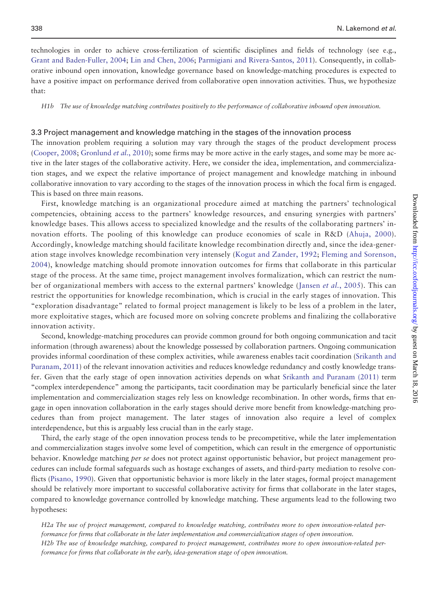technologies in order to achieve cross-fertilization of scientific disciplines and fields of technology (see e.g., [Grant and Baden-Fuller, 2004](#page-15-0); [Lin and Chen, 2006](#page-16-0); [Parmigiani and Rivera-Santos, 2011\)](#page-17-0). Consequently, in collaborative inbound open innovation, knowledge governance based on knowledge-matching procedures is expected to have a positive impact on performance derived from collaborative open innovation activities. Thus, we hypothesize that:

H1b The use of knowledge matching contributes positively to the performance of collaborative inbound open innovation.

#### 3.3 Project management and knowledge matching in the stages of the innovation process

The innovation problem requiring a solution may vary through the stages of the product development process [\(Cooper, 2008;](#page-15-0) [Gronlund](#page-16-0) et al., 2010); some firms may be more active in the early stages, and some may be more active in the later stages of the collaborative activity. Here, we consider the idea, implementation, and commercialization stages, and we expect the relative importance of project management and knowledge matching in inbound collaborative innovation to vary according to the stages of the innovation process in which the focal firm is engaged. This is based on three main reasons.

First, knowledge matching is an organizational procedure aimed at matching the partners' technological competencies, obtaining access to the partners' knowledge resources, and ensuring synergies with partners' knowledge bases. This allows access to specialized knowledge and the results of the collaborating partners' innovation efforts. The pooling of this knowledge can produce economies of scale in R&D [\(Ahuja, 2000\)](#page-14-0). Accordingly, knowledge matching should facilitate knowledge recombination directly and, since the idea-generation stage involves knowledge recombination very intensely ([Kogut and Zander, 1992;](#page-16-0) [Fleming and Sorenson,](#page-15-0) [2004\)](#page-15-0), knowledge matching should promote innovation outcomes for firms that collaborate in this particular stage of the process. At the same time, project management involves formalization, which can restrict the number of organizational members with access to the external partners' knowledge [\(Jansen](#page-16-0) et al., 2005). This can restrict the opportunities for knowledge recombination, which is crucial in the early stages of innovation. This "exploration disadvantage" related to formal project management is likely to be less of a problem in the later, more exploitative stages, which are focused more on solving concrete problems and finalizing the collaborative innovation activity.

Second, knowledge-matching procedures can provide common ground for both ongoing communication and tacit information (through awareness) about the knowledge possessed by collaboration partners. Ongoing communication provides informal coordination of these complex activities, while awareness enables tacit coordination [\(Srikanth and](#page-17-0) [Puranam, 2011](#page-17-0)) of the relevant innovation activities and reduces knowledge redundancy and costly knowledge transfer. Given that the early stage of open innovation activities depends on what [Srikanth and Puranam \(2011\)](#page-17-0) term "complex interdependence" among the participants, tacit coordination may be particularly beneficial since the later implementation and commercialization stages rely less on knowledge recombination. In other words, firms that engage in open innovation collaboration in the early stages should derive more benefit from knowledge-matching procedures than from project management. The later stages of innovation also require a level of complex interdependence, but this is arguably less crucial than in the early stage.

Third, the early stage of the open innovation process tends to be precompetitive, while the later implementation and commercialization stages involve some level of competition, which can result in the emergence of opportunistic behavior. Knowledge matching *per se* does not protect against opportunistic behavior, but project management procedures can include formal safeguards such as hostage exchanges of assets, and third-party mediation to resolve conflicts ([Pisano, 1990](#page-17-0)). Given that opportunistic behavior is more likely in the later stages, formal project management should be relatively more important to successful collaborative activity for firms that collaborate in the later stages, compared to knowledge governance controlled by knowledge matching. These arguments lead to the following two hypotheses:

H2a The use of project management, compared to knowledge matching, contributes more to open innovation-related performance for firms that collaborate in the later implementation and commercialization stages of open innovation. H2b The use of knowledge matching, compared to project management, contributes more to open innovation-related performance for firms that collaborate in the early, idea-generation stage of open innovation.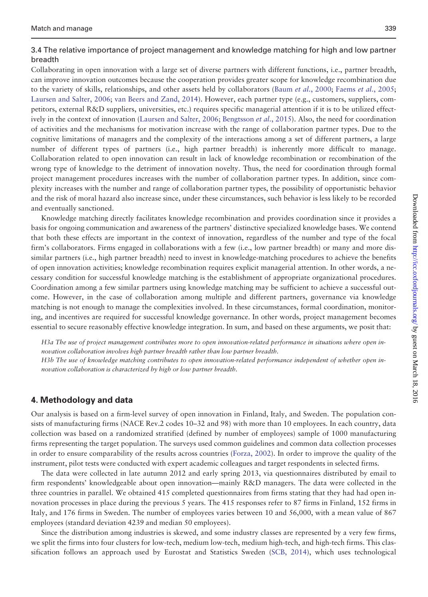## 3.4 The relative importance of project management and knowledge matching for high and low partner breadth

Collaborating in open innovation with a large set of diverse partners with different functions, i.e., partner breadth, can improve innovation outcomes because the cooperation provides greater scope for knowledge recombination due to the variety of skills, relationships, and other assets held by collaborators (Baum et al.[, 2000](#page-14-0); Faems et al.[, 2005;](#page-15-0) [Laursen and Salter, 2006;](#page-16-0) [van Beers and Zand, 2014](#page-17-0)). However, each partner type (e.g., customers, suppliers, competitors, external R&D suppliers, universities, etc.) requires specific managerial attention if it is to be utilized effect-ively in the context of innovation [\(Laursen and Salter, 2006;](#page-16-0) [Bengtsson](#page-14-0) et al., 2015). Also, the need for coordination of activities and the mechanisms for motivation increase with the range of collaboration partner types. Due to the cognitive limitations of managers and the complexity of the interactions among a set of different partners, a large number of different types of partners (i.e., high partner breadth) is inherently more difficult to manage. Collaboration related to open innovation can result in lack of knowledge recombination or recombination of the wrong type of knowledge to the detriment of innovation novelty. Thus, the need for coordination through formal project management procedures increases with the number of collaboration partner types. In addition, since complexity increases with the number and range of collaboration partner types, the possibility of opportunistic behavior and the risk of moral hazard also increase since, under these circumstances, such behavior is less likely to be recorded and eventually sanctioned.

Knowledge matching directly facilitates knowledge recombination and provides coordination since it provides a basis for ongoing communication and awareness of the partners' distinctive specialized knowledge bases. We contend that both these effects are important in the context of innovation, regardless of the number and type of the focal firm's collaborators. Firms engaged in collaborations with a few (i.e., low partner breadth) or many and more dissimilar partners (i.e., high partner breadth) need to invest in knowledge-matching procedures to achieve the benefits of open innovation activities; knowledge recombination requires explicit managerial attention. In other words, a necessary condition for successful knowledge matching is the establishment of appropriate organizational procedures. Coordination among a few similar partners using knowledge matching may be sufficient to achieve a successful outcome. However, in the case of collaboration among multiple and different partners, governance via knowledge matching is not enough to manage the complexities involved. In these circumstances, formal coordination, monitoring, and incentives are required for successful knowledge governance. In other words, project management becomes essential to secure reasonably effective knowledge integration. In sum, and based on these arguments, we posit that:

H3a The use of project management contributes more to open innovation-related performance in situations where open innovation collaboration involves high partner breadth rather than low partner breadth.

H3b The use of knowledge matching contributes to open innovation-related performance independent of whether open innovation collaboration is characterized by high or low partner breadth.

## 4. Methodology and data

Our analysis is based on a firm-level survey of open innovation in Finland, Italy, and Sweden. The population consists of manufacturing firms (NACE Rev.2 codes 10–32 and 98) with more than 10 employees. In each country, data collection was based on a randomized stratified (defined by number of employees) sample of 1000 manufacturing firms representing the target population. The surveys used common guidelines and common data collection processes in order to ensure comparability of the results across countries ([Forza, 2002](#page-15-0)). In order to improve the quality of the instrument, pilot tests were conducted with expert academic colleagues and target respondents in selected firms.

The data were collected in late autumn 2012 and early spring 2013, via questionnaires distributed by email to firm respondents' knowledgeable about open innovation—mainly R&D managers. The data were collected in the three countries in parallel. We obtained 415 completed questionnaires from firms stating that they had had open innovation processes in place during the previous 5 years. The 415 responses refer to 87 firms in Finland, 152 firms in Italy, and 176 firms in Sweden. The number of employees varies between 10 and 56,000, with a mean value of 867 employees (standard deviation 4239 and median 50 employees).

Since the distribution among industries is skewed, and some industry classes are represented by a very few firms, we split the firms into four clusters for low-tech, medium low-tech, medium high-tech, and high-tech firms. This classification follows an approach used by Eurostat and Statistics Sweden ([SCB, 2014\)](#page-17-0), which uses technological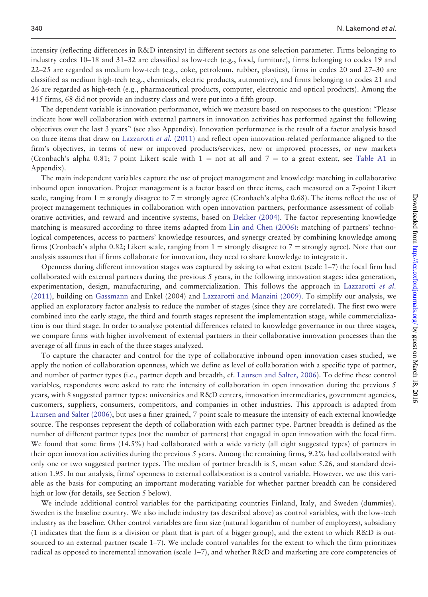intensity (reflecting differences in R&D intensity) in different sectors as one selection parameter. Firms belonging to industry codes 10–18 and 31–32 are classified as low-tech (e.g., food, furniture), firms belonging to codes 19 and 22–25 are regarded as medium low-tech (e.g., coke, petroleum, rubber, plastics), firms in codes 20 and 27–30 are classified as medium high-tech (e.g., chemicals, electric products, automotive), and firms belonging to codes 21 and 26 are regarded as high-tech (e.g., pharmaceutical products, computer, electronic and optical products). Among the 415 firms, 68 did not provide an industry class and were put into a fifth group.

The dependent variable is innovation performance, which we measure based on responses to the question: "Please indicate how well collaboration with external partners in innovation activities has performed against the following objectives over the last 3 years" (see also Appendix). Innovation performance is the result of a factor analysis based on three items that draw on [Lazzarotti](#page-16-0) et al. (2011) and reflect open innovation-related performance aligned to the firm's objectives, in terms of new or improved products/services, new or improved processes, or new markets (Cronbach's alpha 0.81; 7-point Likert scale with  $1 = not$  at all and  $7 = to$  a great extent, see [Table A1](#page-18-0) in Appendix).

The main independent variables capture the use of project management and knowledge matching in collaborative inbound open innovation. Project management is a factor based on three items, each measured on a 7-point Likert scale, ranging from  $1 =$  strongly disagree to  $7 =$  strongly agree (Cronbach's alpha 0.68). The items reflect the use of project management techniques in collaboration with open innovation partners, performance assessment of collaborative activities, and reward and incentive systems, based on [Dekker \(2004\)](#page-15-0). The factor representing knowledge matching is measured according to three items adapted from [Lin and Chen \(2006\):](#page-16-0) matching of partners' technological competences, access to partners' knowledge resources, and synergy created by combining knowledge among firms (Cronbach's alpha 0.82; Likert scale, ranging from  $1 =$  strongly disagree to  $7 =$  strongly agree). Note that our analysis assumes that if firms collaborate for innovation, they need to share knowledge to integrate it.

Openness during different innovation stages was captured by asking to what extent (scale 1–7) the focal firm had collaborated with external partners during the previous 5 years, in the following innovation stages: idea generation, experimentation, design, manufacturing, and commercialization. This follows the approach in [Lazzarotti](#page-16-0) et al. [\(2011\),](#page-16-0) building on Gassmann [and Enkel \(2004\)](#page-15-0) and [Lazzarotti and Manzini \(2009\)](#page-16-0). To simplify our analysis, we applied an exploratory factor analysis to reduce the number of stages (since they are correlated). The first two were combined into the early stage, the third and fourth stages represent the implementation stage, while commercialization is our third stage. In order to analyze potential differences related to knowledge governance in our three stages, we compare firms with higher involvement of external partners in their collaborative innovation processes than the average of all firms in each of the three stages analyzed.

To capture the character and control for the type of collaborative inbound open innovation cases studied, we apply the notion of collaboration openness, which we define as level of collaboration with a specific type of partner, and number of partner types (i.e., partner depth and breadth, cf. [Laursen and Salter, 2006](#page-16-0)). To define these control variables, respondents were asked to rate the intensity of collaboration in open innovation during the previous 5 years, with 8 suggested partner types: universities and R&D centers, innovation intermediaries, government agencies, customers, suppliers, consumers, competitors, and companies in other industries. This approach is adapted from [Laursen and Salter \(2006\),](#page-16-0) but uses a finer-grained, 7-point scale to measure the intensity of each external knowledge source. The responses represent the depth of collaboration with each partner type. Partner breadth is defined as the number of different partner types (not the number of partners) that engaged in open innovation with the focal firm. We found that some firms (14.5%) had collaborated with a wide variety (all eight suggested types) of partners in their open innovation activities during the previous 5 years. Among the remaining firms, 9.2% had collaborated with only one or two suggested partner types. The median of partner breadth is 5, mean value 5.26, and standard deviation 1.95. In our analysis, firms' openness to external collaboration is a control variable. However, we use this variable as the basis for computing an important moderating variable for whether partner breadth can be considered high or low (for details, see Section 5 below).

We include additional control variables for the participating countries Finland, Italy, and Sweden (dummies). Sweden is the baseline country. We also include industry (as described above) as control variables, with the low-tech industry as the baseline. Other control variables are firm size (natural logarithm of number of employees), subsidiary (1 indicates that the firm is a division or plant that is part of a bigger group), and the extent to which R&D is outsourced to an external partner (scale 1–7). We include control variables for the extent to which the firm prioritizes radical as opposed to incremental innovation (scale 1–7), and whether R&D and marketing are core competencies of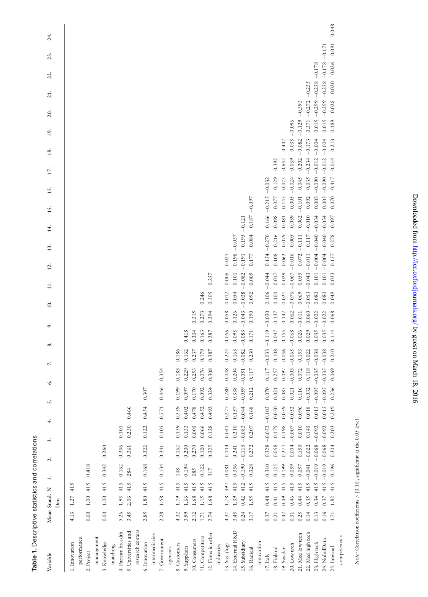<span id="page-8-0"></span>

| Variable                                 | $\dot{\mathsf{r}}$<br>≓<br>z<br>Mean Stand.<br>Dev.                                  | $\dot{\phantom{1}}$     | S.<br>4.       | ق                 | r.             | ∞                 | o,                                  | 10.               | $\exists$         | ä,                | 13.            | 14.               | 15.<br>15.        | 17.            | 18.               | $\overline{9}$       | 20.                                       | 21.      | 22.      | 23.      | 24.      |
|------------------------------------------|--------------------------------------------------------------------------------------|-------------------------|----------------|-------------------|----------------|-------------------|-------------------------------------|-------------------|-------------------|-------------------|----------------|-------------------|-------------------|----------------|-------------------|----------------------|-------------------------------------------|----------|----------|----------|----------|
| performance<br>1. Innovation             | 415<br>1.27<br>4.13                                                                  |                         |                |                   |                |                   |                                     |                   |                   |                   |                |                   |                   |                |                   |                      |                                           |          |          |          |          |
| management<br>3. Knowledge<br>2. Project | 0.260<br>0.342<br>0.418<br>415<br>415<br>$1.00\,$<br>$1.00\,$<br>0.00<br>0.00        |                         |                |                   |                |                   |                                     |                   |                   |                   |                |                   |                   |                |                   |                      |                                           |          |          |          |          |
| 4. Partner breadth<br>matching           | 0.356<br>0.162<br>415<br>1.95<br>5.26                                                | 0.101                   |                |                   |                |                   |                                     |                   |                   |                   |                |                   |                   |                |                   |                      |                                           |          |          |          |          |
| 5. Universities and                      | 0.361<br>284<br>415<br>2.06<br>3.45                                                  | 0.230                   | 0.466          |                   |                |                   |                                     |                   |                   |                   |                |                   |                   |                |                   |                      |                                           |          |          |          |          |
| research centers<br>6. Innovation        | 0.322<br>0.168<br>415<br>$1.80\,$<br>2.85                                            | 0.122                   | 0.454          | 0.307             |                |                   |                                     |                   |                   |                   |                |                   |                   |                |                   |                      |                                           |          |          |          |          |
| intermediaries                           |                                                                                      |                         |                |                   |                |                   |                                     |                   |                   |                   |                |                   |                   |                |                   |                      |                                           |          |          |          |          |
| 7. Government                            | 0.341<br>0.134<br>415<br>1.58<br>2.28                                                | 0.105                   | 0.571          | 0.446             | 0.354          |                   |                                     |                   |                   |                   |                |                   |                   |                |                   |                      |                                           |          |          |          |          |
| agencies                                 |                                                                                      |                         |                |                   |                |                   |                                     |                   |                   |                   |                |                   |                   |                |                   |                      |                                           |          |          |          |          |
| 8. Customers<br>9. Suppliers             | 0.200<br>0.162<br>0.194<br>148<br>415<br>415<br>1.79<br>1.66<br>3.99<br>4.32         | 0.139<br>0.133          | 0.359<br>0.402 | 0.199<br>0.097    | 0.229<br>0.183 | 0.162<br>0.186    | 0.418                               |                   |                   |                   |                |                   |                   |                |                   |                      |                                           |          |          |          |          |
| 10. Consumers                            | 0.270<br>085<br>415<br>1.68<br>2.12                                                  | 0.005                   | 0.478          | 0.170             | 0.253          | 0.237             | 0.315<br>0.304                      |                   |                   |                   |                |                   |                   |                |                   |                      |                                           |          |          |          |          |
| 11. Competitors                          | 0.120<br>0.122<br>415<br>1.15<br>$1.71\,$                                            | 0.066                   | 0.452          | 0.092             | 0.076          | 0.179             | 0.273<br>0.163                      | 0.246             |                   |                   |                |                   |                   |                |                   |                      |                                           |          |          |          |          |
| 12. Firms in other                       | 0.325<br>317<br>415<br>1.68<br>2.74                                                  | 0.128                   | 0.492          | 0.324             | 0.308          | 0.387             | 0.294<br>0.287                      | 0.305             | 0.257             |                   |                |                   |                   |                |                   |                      |                                           |          |          |          |          |
| industries                               |                                                                                      |                         |                |                   |                |                   |                                     |                   |                   |                   |                |                   |                   |                |                   |                      |                                           |          |          |          |          |
| 13. Size (log)                           | 0.104<br>$397 - 0.081$<br>1.78<br>4.37                                               | 0.041                   | 0.277          | 0.280             | 0.048          | 0.224             | 0.058<br>0.056                      | 0.012             | $-0.006$          | 0.021             |                |                   |                   |                |                   |                      |                                           |          |          |          |          |
| 14. External R&D                         | 0.241<br>0.356<br>415<br>1.39<br>3.45                                                | 0.210                   | 0.157          | 0.338             | 0.204          | 0.163             | 0.126<br>0.095                      | 0.054             | $0.101\,$         | 0.198             | $-0.037$       |                   |                   |                |                   |                      |                                           |          |          |          |          |
| 15. Subsidiary                           | $-0.115$<br>$-0.190$<br>412<br>0.42<br>0.24                                          | $-0.083 - 0.044$        |                | $-0.059$          | $-0.051$       | $-0.082$          | $-0.043$<br>$-0.083$                | $-0.038$          | $-0.082$          | $-0.191$          | 0.195          | $-0.121$          |                   |                |                   |                      |                                           |          |          |          |          |
| 16. Radical                              | 0.272<br>0.328<br>415<br>1.55<br>3.17                                                | 0.207                   | 0.168          | 0.212             | $0.117\,$      | 0.230             | 0.190<br>0.171                      | 0.092             | 0.009             | 0.177             | 0.084          | $0.187 - 0.097$   |                   |                |                   |                      |                                           |          |          |          |          |
| innovation                               |                                                                                      |                         |                |                   |                |                   |                                     |                   |                   |                   |                |                   |                   |                |                   |                      |                                           |          |          |          |          |
| 17. Italy                                | 0.310<br>415<br>0.48<br>0.37                                                         | $0.328 - 0.052 - 0.103$ |                | 0.070             | 0.117          | $-0.033$          | $-0.030$<br>$-0.119$                | 0.106             | $-0.044$          | 0.154             | $-0.270$       | 0.166             | $-0.215$          | $-0.032$       |                   |                      |                                           |          |          |          |          |
| 18. Finland                              | $415 - 0.125$<br>0.41<br>0.21                                                        | $-0.058 - 0.179$        | 0.050          | 0.021             | $-0.257$       | 0.108             | $-0.137$<br>$-0.047$                | $-0.100$          | $0.017\,$         | $-0.108$          | 0.216          | $-0.098$          | 0.077             | 0.129          | $-0.392$          |                      |                                           |          |          |          |          |
| 19. Sweden                               | $-0.271$<br>$-0.199$<br>415<br>0.49<br>0.42                                          | 0.198                   | 0.059          | $-0.085$          | 0.097          | $-0.056$          | 0.142<br>0.155                      | $-0.021$          | 0.029             | $-0.062$          | 0.079          | $-0.081$          | 0.145             | $-0.075$       | $-0.652$          | $-0.442$             |                                           |          |          |          |          |
| 20. Low tech                             | 0.004<br>0.059<br>415<br>0.46<br>0.31                                                | $-0.007$                | $-0.052$       | 0.021             | $-0.003$       | $-0.065$          | 0.062<br>$-0.068$                   | $-0.076$          | $-0.067$          | $-0.016$          | 0.005          | 0.039             | 0.005             | $-0.024$       | 0.069             | $-0.096$<br>0.035    |                                           |          |          |          |          |
| 22. Med high tech<br>21. Med low tech    | 0.155<br>$-0.022$<br>$-0.041$<br>0.057<br>415<br>415<br>0.44<br>0.35<br>0.14<br>0.25 | 0.010<br>0.145          | 0.096<br>0.018 | 0.116<br>$-0.032$ | 0.118<br>0.072 | 0.153<br>$-0.022$ | 0.060<br>$-0.011$<br>0.026<br>0.029 | $-0.053$<br>0.069 | $-0.043$<br>0.055 | 0.072<br>$-0.011$ | 0.111<br>0.117 | $-0.010$<br>0.062 | 0.092<br>$-0.101$ | 0.045<br>0.035 | $-0.234$<br>0.202 | $-0.082$<br>$-0.173$ | $-0.272$<br>$-0.393$<br>$-0.129$<br>0.371 | $-0.235$ |          |          |          |
| 23. High tech                            | $-0.068$<br>$-0.019$<br>415<br>0.34<br>0.13                                          | $-0.092$                | 0.015          | $-0.095$          | $-0.035$       | $-0.038$          | $-0.022$<br>0.035                   | 0.080             | 0.101             | $-0.004$          | $-0.040$       | $-0.034$          | 0.003             | $-0.090$       | $-0.012$          | $-0.004$             | $-0.299$<br>0.015                         | $-0.258$ | $-0.178$ |          |          |
| 24. NoIndData                            | $-0.068$<br>$-0.019$<br>415<br>0.37<br>0.16                                          | $-0.092$                | 0.015          | $-0.095$          | $-0.035$       | $-0.038$          | $-0.022$<br>0.035                   | 0.080             | 0.101             | $-0.004$          | $-0.040$       | $-0.034$          | 0.003             | $-0.090$       | $-0.012$          | $-0.004$             | $-0.299$<br>0.015                         | $-0.258$ | $-0.178$ | $-0.171$ |          |
| 25. Internal                             | 0.304<br>0.196<br>415<br>1.82<br>3.71                                                | 0.203                   | 0.219          | 0.236             | 0.069          | 0.210             | 0.068<br>0.114                      | 0.049             | 0.033             | 0.157             | 0.278          | 0.097             | $-0.070$          | 0.417          | 0.014             | $-0.189$<br>0.213    | $-0.028$                                  | $-0.020$ | 0.026    | 0.091    | $-0.048$ |
| competencies                             |                                                                                      |                         |                |                   |                |                   |                                     |                   |                   |                   |                |                   |                   |                |                   |                      |                                           |          |          |          |          |
|                                          |                                                                                      |                         |                |                   |                |                   |                                     |                   |                   |                   |                |                   |                   |                |                   |                      |                                           |          |          |          |          |

Table 1. Descriptive statistics and correlations

Table 1. Descriptive statistics and correlations

Note: Correlation coefficients  $> \vert 0.10 \vert,$  significant at the 0.05 level. Note: Correlation coefficients  $>$   $|0.10|$ , significant at the 0.05 level.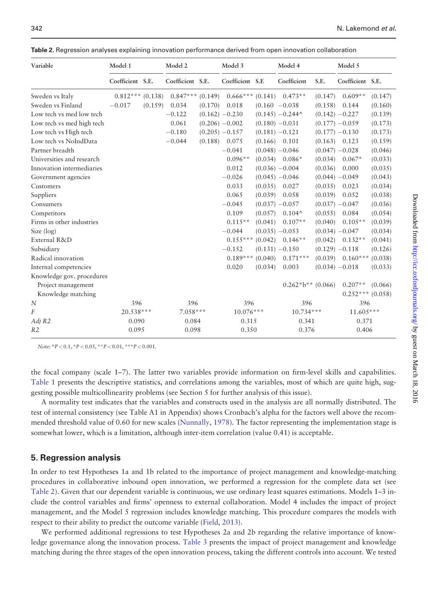| Variable                  | Model 1            |         | Model 2          |         | Model 3           |         | Model 4               |         | Model 5           |         |
|---------------------------|--------------------|---------|------------------|---------|-------------------|---------|-----------------------|---------|-------------------|---------|
|                           | Coefficient S.E.   |         | Coefficient S.E. |         | Coefficient S.E   |         | Coefficient           | S.E.    | Coefficient S.E.  |         |
| Sweden vs Italy           | $0.812***$ (0.138) |         | $0.847***$       | (0.149) | $0.666***$        |         | $(0.141)$ $0.473**$   | (0.147) | $0.609**$         | (0.147) |
| Sweden vs Finland         | $-0.017$           | (0.159) | 0.034            | (0.170) | 0.018             |         | $(0.160 - 0.038)$     | (0.158) | 0.144             | (0.160) |
| Low tech vs med low tech  |                    |         | $-0.122$         |         | $(0.162) - 0.230$ |         | $(0.145) - 0.244$ ^   |         | $(0.142) - 0.227$ | (0.139) |
| Low tech vs med high tech |                    |         | 0.061            |         | $(0.206) - 0.002$ |         | $(0.180) - 0.031$     |         | $(0.177) -0.059$  | (0.173) |
| Low tech vs High tech     |                    |         | $-0.180$         |         | $(0.205) - 0.157$ |         | $(0.181) - 0.121$     |         | $(0.177) -0.130$  | (0.173) |
| Low tech vs NoIndData     |                    |         | $-0.044$         | (0.188) | 0.075             |         | $(0.166)$ $0.101$     | (0.163) | 0.123             | (0.159) |
| Partner breadth           |                    |         |                  |         | $-0.041$          |         | $(0.048) - 0.046$     |         | $(0.047) - 0.028$ | (0.046) |
| Universities and research |                    |         |                  |         | $0.096**$         | (0.034) | $0.086*$              | (0.034) | $0.067*$          | (0.033) |
| Innovation intermediaries |                    |         |                  |         | 0.012             |         | $(0.036) - 0.004$     | (0.036) | 0.000             | (0.035) |
| Government agencies       |                    |         |                  |         | $-0.026$          |         | $(0.045) - 0.046$     |         | $(0.044) - 0.049$ | (0.043) |
| Customers                 |                    |         |                  |         | 0.033             | (0.035) | 0.027                 | (0.035) | 0.023             | (0.034) |
| Suppliers                 |                    |         |                  |         | 0.065             | (0.039) | 0.058                 | (0.039) | 0.052             | (0.038) |
| Consumers                 |                    |         |                  |         | $-0.045$          |         | $(0.037) -0.057$      |         | $(0.037) -0.047$  | (0.036) |
| Competitors               |                    |         |                  |         | 0.109             | (0.057) | $0.104^$              | (0.055) | 0.084             | (0.054) |
| Firms in other industries |                    |         |                  |         | $0.115**$         | (0.041) | $0.107**$             | (0.040) | $0.105**$         | (0.039) |
| Size (log)                |                    |         |                  |         | $-0.044$          |         | $(0.035) -0.053$      |         | $(0.034) -0.047$  | (0.034) |
| External R&D              |                    |         |                  |         | $0.155***(0.042)$ |         | $0.146**$             | (0.042) | $0.132**$         | (0.041) |
| Subsidiary                |                    |         |                  |         | $-0.152$          |         | $(0.131) - 0.150$     |         | $(0.129) - 0.118$ | (0.126) |
| Radical innovation        |                    |         |                  |         | $0.189***$        | (0.040) | $0.171***$            | (0.039) | $0.160***$        | (0.038) |
| Internal competencies     |                    |         |                  |         | 0.020             | (0.034) | 0.003                 |         | $(0.034) - 0.018$ | (0.033) |
| Knowledge gov. procedures |                    |         |                  |         |                   |         |                       |         |                   |         |
| Project management        |                    |         |                  |         |                   |         | $0.262 * b** (0.066)$ |         | $0.207**$         | (0.066) |
| Knowledge matching        |                    |         |                  |         |                   |         |                       |         | $0.252***(0.058)$ |         |
| N                         | 396                |         | 396              |         | 396               |         | 396                   |         | 396               |         |
| F                         | 20.538***          |         | $7.058***$       |         | 10.076***         |         | $10.734***$           |         | $11.605***$       |         |
| Adj R2                    | 0.090              |         | 0.084            |         | 0.315             |         | 0.341                 |         | 0.371             |         |
| R <sub>2</sub>            | 0.095              |         | 0.098            |         | 0.350             |         | 0.376                 |         | 0.406             |         |

<span id="page-9-0"></span>Table 2. Regression analyses explaining innovation performance derived from open innovation collaboration

Note:  $^{\wedge}P < 0.1$ ,  $^{\ast}P < 0.05$ ,  $^{\ast}$   $^{\ast}P < 0.01$ ,  $^{\ast}$   $^{\ast}$   $^{\ast}P < 0.001$ .

the focal company (scale 1–7). The latter two variables provide information on firm-level skills and capabilities. [Table 1](#page-8-0) presents the descriptive statistics, and correlations among the variables, most of which are quite high, suggesting possible multicollinearity problems (see Section 5 for further analysis of this issue).

A normality test indicates that the variables and constructs used in the analysis are all normally distributed. The test of internal consistency (see Table A1 in Appendix) shows Cronbach's alpha for the factors well above the recommended threshold value of 0.60 for new scales ([Nunnally, 1978\)](#page-17-0). The factor representing the implementation stage is somewhat lower, which is a limitation, although inter-item correlation (value 0.41) is acceptable.

### 5. Regression analysis

In order to test Hypotheses 1a and 1b related to the importance of project management and knowledge-matching procedures in collaborative inbound open innovation, we performed a regression for the complete data set (see Table 2). Given that our dependent variable is continuous, we use ordinary least squares estimations. Models 1–3 include the control variables and firms' openness to external collaboration. Model 4 includes the impact of project management, and the Model 5 regression includes knowledge matching. This procedure compares the models with respect to their ability to predict the outcome variable ([Field, 2013\)](#page-15-0).

We performed additional regressions to test Hypotheses 2a and 2b regarding the relative importance of knowledge governance along the innovation process. [Table 3](#page-10-0) presents the impact of project management and knowledge matching during the three stages of the open innovation process, taking the different controls into account. We tested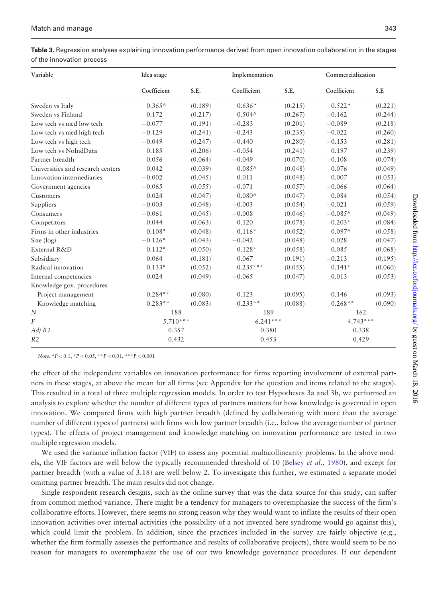<span id="page-10-0"></span>Table 3. Regression analyses explaining innovation performance derived from open innovation collaboration in the stages of the innovation process

| Variable                          | Idea stage      |         | Implementation   |         | Commercialization |         |
|-----------------------------------|-----------------|---------|------------------|---------|-------------------|---------|
|                                   | Coefficient     | S.E.    | Coefficient      | S.E.    | Coefficient       | S.E     |
| Sweden vs Italy                   | $0.365^{\circ}$ | (0.189) | $0.636*$         | (0.215) | $0.522*$          | (0.221) |
| Sweden vs Finland                 | 0.172           | (0.217) | $0.504^$         | (0.267) | $-0.162$          | (0.244) |
| Low tech vs med low tech          | $-0.077$        | (0.191) | $-0.283$         | (0.201) | $-0.089$          | (0.218) |
| Low tech vs med high tech         | $-0.129$        | (0.241) | $-0.243$         | (0.235) | $-0.022$          | (0.260) |
| Low tech vs high tech             | $-0.049$        | (0.247) | $-0.440$         | (0.280) | $-0.153$          | (0.281) |
| Low tech vs NoIndData             | 0.185           | (0.206) | $-0.054$         | (0.241) | 0.197             | (0.239) |
| Partner breadth                   | 0.056           | (0.064) | $-0.049$         | (0.070) | $-0.108$          | (0.074) |
| Universities and research centers | 0.042           | (0.039) | $0.085^{\wedge}$ | (0.048) | 0.076             | (0.049) |
| Innovation intermediaries         | $-0.002$        | (0.045) | 0.011            | (0.048) | 0.007             | (0.053) |
| Government agencies               | $-0.065$        | (0.055) | $-0.071$         | (0.057) | $-0.066$          | (0.064) |
| Customers                         | 0.024           | (0.047) | $0.080^{\circ}$  | (0.047) | 0.084             | (0.054) |
| Suppliers                         | $-0.003$        | (0.048) | $-0.003$         | (0.054) | $-0.021$          | (0.059) |
| Consumers                         | $-0.061$        | (0.045) | $-0.008$         | (0.046) | $-0.085^{\circ}$  | (0.049) |
| Competitors                       | 0.044           | (0.063) | 0.120            | (0.078) | $0.203*$          | (0.084) |
| Firms in other industries         | $0.108*$        | (0.048) | $0.116*$         | (0.052) | $0.097^$          | (0.058) |
| Size $(log)$                      | $-0.126*$       | (0.043) | $-0.042$         | (0.048) | 0.028             | (0.047) |
| External R&D                      | $0.112*$        | (0.050) | $0.128*$         | (0.058) | 0.085             | (0.068) |
| Subsidiary                        | 0.064           | (0.181) | 0.067            | (0.191) | $-0.213$          | (0.195) |
| Radical innovation                | $0.133*$        | (0.052) | $0.235***$       | (0.055) | $0.141*$          | (0.060) |
| Internal competencies             | 0.024           | (0.049) | $-0.065$         | (0.047) | 0.013             | (0.053) |
| Knowledge gov. procedures         |                 |         |                  |         |                   |         |
| Project management                | $0.284**$       | (0.080) | 0.123            | (0.095) | 0.146             | (0.093) |
| Knowledge matching                | $0.283**$       | (0.083) | $0.233**$        | (0.088) | $0.268**$         | (0.090) |
| N                                 | 188             |         | 189              |         | 162               |         |
| $\boldsymbol{F}$                  | $5.710***$      |         | $6.241***$       |         | $4.743***$        |         |
| Adj R2                            | 0.357           |         | 0.380            |         | 0.338             |         |
| R <sub>2</sub>                    | 0.432           |         | 0.453            |         | 0.429             |         |

Note:  $^{6}P < 0.1$ ,  $^{*}P < 0.05$ ,  $^{*}P < 0.01$ ,  $^{*}$  $^{*}P < 0.001$ 

the effect of the independent variables on innovation performance for firms reporting involvement of external partners in these stages, at above the mean for all firms (see Appendix for the question and items related to the stages). This resulted in a total of three multiple regression models. In order to test Hypotheses 3a and 3b, we performed an analysis to explore whether the number of different types of partners matters for how knowledge is governed in open innovation. We compared firms with high partner breadth (defined by collaborating with more than the average number of different types of partners) with firms with low partner breadth (i.e., below the average number of partner types). The effects of project management and knowledge matching on innovation performance are tested in two multiple regression models.

We used the variance inflation factor (VIF) to assess any potential multicollinearity problems. In the above models, the VIF factors are well below the typically recommended threshold of 10 (Belsey et al.[, 1980](#page-14-0)), and except for partner breadth (with a value of 3.18) are well below 2. To investigate this further, we estimated a separate model omitting partner breadth. The main results did not change.

Single respondent research designs, such as the online survey that was the data source for this study, can suffer from common method variance. There might be a tendency for managers to overemphasize the success of the firm's collaborative efforts. However, there seems no strong reason why they would want to inflate the results of their open innovation activities over internal activities (the possibility of a not invented here syndrome would go against this), which could limit the problem. In addition, since the practices included in the survey are fairly objective (e.g., whether the firm formally assesses the performance and results of collaborative projects), there would seem to be no reason for managers to overemphasize the use of our two knowledge governance procedures. If our dependent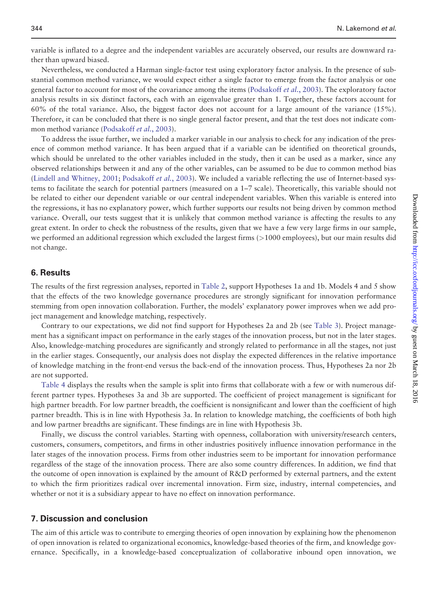variable is inflated to a degree and the independent variables are accurately observed, our results are downward rather than upward biased.

Nevertheless, we conducted a Harman single-factor test using exploratory factor analysis. In the presence of substantial common method variance, we would expect either a single factor to emerge from the factor analysis or one general factor to account for most of the covariance among the items ([Podsakoff](#page-17-0) et al., 2003). The exploratory factor analysis results in six distinct factors, each with an eigenvalue greater than 1. Together, these factors account for 60% of the total variance. Also, the biggest factor does not account for a large amount of the variance (15%). Therefore, it can be concluded that there is no single general factor present, and that the test does not indicate com-mon method variance [\(Podsakoff](#page-17-0) et al., 2003).

To address the issue further, we included a marker variable in our analysis to check for any indication of the presence of common method variance. It has been argued that if a variable can be identified on theoretical grounds, which should be unrelated to the other variables included in the study, then it can be used as a marker, since any observed relationships between it and any of the other variables, can be assumed to be due to common method bias [\(Lindell and Whitney, 2001](#page-16-0); [Podsakoff](#page-17-0) et al., 2003). We included a variable reflecting the use of Internet-based systems to facilitate the search for potential partners (measured on a 1–7 scale). Theoretically, this variable should not be related to either our dependent variable or our central independent variables. When this variable is entered into the regressions, it has no explanatory power, which further supports our results not being driven by common method variance. Overall, our tests suggest that it is unlikely that common method variance is affecting the results to any great extent. In order to check the robustness of the results, given that we have a few very large firms in our sample, we performed an additional regression which excluded the largest firms (>1000 employees), but our main results did not change.

#### 6. Results

The results of the first regression analyses, reported in [Table 2,](#page-9-0) support Hypotheses 1a and 1b. Models 4 and 5 show that the effects of the two knowledge governance procedures are strongly significant for innovation performance stemming from open innovation collaboration. Further, the models' explanatory power improves when we add project management and knowledge matching, respectively.

Contrary to our expectations, we did not find support for Hypotheses 2a and 2b (see [Table 3\)](#page-10-0). Project management has a significant impact on performance in the early stages of the innovation process, but not in the later stages. Also, knowledge-matching procedures are significantly and strongly related to performance in all the stages, not just in the earlier stages. Consequently, our analysis does not display the expected differences in the relative importance of knowledge matching in the front-end versus the back-end of the innovation process. Thus, Hypotheses 2a nor 2b are not supported.

[Table 4](#page-12-0) displays the results when the sample is split into firms that collaborate with a few or with numerous different partner types. Hypotheses 3a and 3b are supported. The coefficient of project management is significant for high partner breadth. For low partner breadth, the coefficient is nonsignificant and lower than the coefficient of high partner breadth. This is in line with Hypothesis 3a. In relation to knowledge matching, the coefficients of both high and low partner breadths are significant. These findings are in line with Hypothesis 3b.

Finally, we discuss the control variables. Starting with openness, collaboration with university/research centers, customers, consumers, competitors, and firms in other industries positively influence innovation performance in the later stages of the innovation process. Firms from other industries seem to be important for innovation performance regardless of the stage of the innovation process. There are also some country differences. In addition, we find that the outcome of open innovation is explained by the amount of R&D performed by external partners, and the extent to which the firm prioritizes radical over incremental innovation. Firm size, industry, internal competencies, and whether or not it is a subsidiary appear to have no effect on innovation performance.

#### 7. Discussion and conclusion

The aim of this article was to contribute to emerging theories of open innovation by explaining how the phenomenon of open innovation is related to organizational economics, knowledge-based theories of the firm, and knowledge governance. Specifically, in a knowledge-based conceptualization of collaborative inbound open innovation, we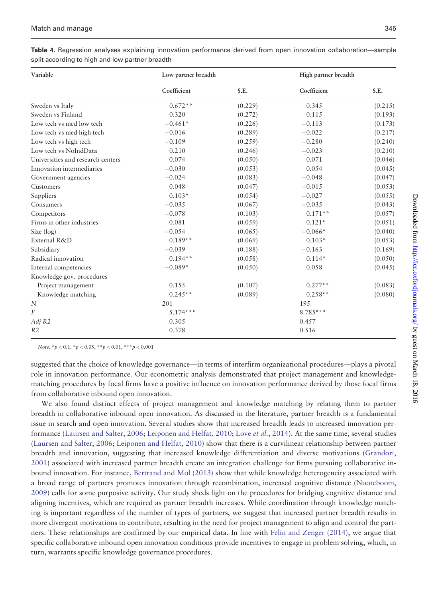| Variable                          | Low partner breadth |         | High partner breadth |         |
|-----------------------------------|---------------------|---------|----------------------|---------|
|                                   | Coefficient         | S.E.    | Coefficient          | S.E.    |
| Sweden vs Italy                   | $0.672**$           | (0.229) | 0.345                | (0.215) |
| Sweden vs Finland                 | 0.320               | (0.272) | 0.115                | (0.193) |
| Low tech vs med low tech          | $-0.461*$           | (0.226) | $-0.113$             | (0.173) |
| Low tech vs med high tech         | $-0.016$            | (0.289) | $-0.022$             | (0.217) |
| Low tech vs high tech             | $-0.109$            | (0.259) | $-0.280$             | (0.240) |
| Low tech vs NoIndData             | 0.210               | (0.246) | $-0.023$             | (0.210) |
| Universities and research centers | 0.074               | (0.050) | 0.071                | (0.046) |
| Innovation intermediaries         | $-0.030$            | (0.053) | 0.054                | (0.045) |
| Government agencies               | $-0.024$            | (0.083) | $-0.048$             | (0.047) |
| Customers                         | 0.048               | (0.047) | $-0.015$             | (0.053) |
| Suppliers                         | $0.103^$            | (0.054) | $-0.027$             | (0.055) |
| Consumers                         | $-0.035$            | (0.067) | $-0.035$             | (0.043) |
| Competitors                       | $-0.078$            | (0.103) | $0.171**$            | (0.057) |
| Firms in other industries         | 0.081               | (0.059) | $0.121*$             | (0.051) |
| Size (log)                        | $-0.054$            | (0.065) | $-0.066^{\circ}$     | (0.040) |
| External R&D                      | $0.189**$           | (0.069) | $0.103^$             | (0.053) |
| Subsidiary                        | $-0.039$            | (0.188) | $-0.163$             | (0.169) |
| Radical innovation                | $0.194**$           | (0.058) | $0.114*$             | (0.050) |
| Internal competencies             | $-0.089^$           | (0.050) | 0.058                | (0.045) |
| Knowledge gov. procedures         |                     |         |                      |         |
| Project management                | 0.155               | (0.107) | $0.277**$            | (0.083) |
| Knowledge matching                | $0.245**$           | (0.089) | $0.258**$            | (0.080) |
| N                                 | 201                 |         | 195                  |         |
| F                                 | $5.174***$          |         | 8.785***             |         |
| Adj R2                            | 0.305               |         | 0.457                |         |
| R <sub>2</sub>                    | 0.378               |         | 0.516                |         |

<span id="page-12-0"></span>Table 4. Regression analyses explaining innovation performance derived from open innovation collaboration—sample split according to high and low partner breadth

Note: ^p < 0.1, \*p < 0.05, \*\*p < 0.01, \*\*\*p < 0.001

suggested that the choice of knowledge governance—in terms of interfirm organizational procedures—plays a pivotal role in innovation performance. Our econometric analysis demonstrated that project management and knowledgematching procedures by focal firms have a positive influence on innovation performance derived by those focal firms from collaborative inbound open innovation.

We also found distinct effects of project management and knowledge matching by relating them to partner breadth in collaborative inbound open innovation. As discussed in the literature, partner breadth is a fundamental issue in search and open innovation. Several studies show that increased breadth leads to increased innovation per-formance ([Laursen and Salter, 2006](#page-16-0); [Leiponen and Helfat, 2010](#page-16-0); Love et al.[, 2014](#page-16-0)). At the same time, several studies [\(Laursen and Salter, 2006](#page-16-0); [Leiponen and Helfat, 2010](#page-16-0)) show that there is a curvilinear relationship between partner breadth and innovation, suggesting that increased knowledge differentiation and diverse motivations ([Grandori,](#page-15-0) [2001\)](#page-15-0) associated with increased partner breadth create an integration challenge for firms pursuing collaborative inbound innovation. For instance, [Bertrand and Mol \(2013\)](#page-14-0) show that while knowledge heterogeneity associated with a broad range of partners promotes innovation through recombination, increased cognitive distance ([Nooteboom,](#page-17-0) [2009\)](#page-17-0) calls for some purposive activity. Our study sheds light on the procedures for bridging cognitive distance and aligning incentives, which are required as partner breadth increases. While coordination through knowledge matching is important regardless of the number of types of partners, we suggest that increased partner breadth results in more divergent motivations to contribute, resulting in the need for project management to align and control the partners. These relationships are confirmed by our empirical data. In line with [Felin and Zenger \(2014\),](#page-15-0) we argue that specific collaborative inbound open innovation conditions provide incentives to engage in problem solving, which, in turn, warrants specific knowledge governance procedures.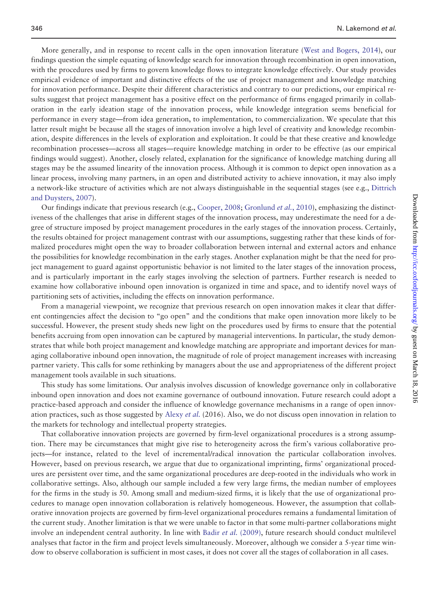More generally, and in response to recent calls in the open innovation literature [\(West and Bogers, 2014](#page-17-0)), our findings question the simple equating of knowledge search for innovation through recombination in open innovation, with the procedures used by firms to govern knowledge flows to integrate knowledge effectively. Our study provides empirical evidence of important and distinctive effects of the use of project management and knowledge matching for innovation performance. Despite their different characteristics and contrary to our predictions, our empirical results suggest that project management has a positive effect on the performance of firms engaged primarily in collaboration in the early ideation stage of the innovation process, while knowledge integration seems beneficial for performance in every stage—from idea generation, to implementation, to commercialization. We speculate that this latter result might be because all the stages of innovation involve a high level of creativity and knowledge recombination, despite differences in the levels of exploration and exploitation. It could be that these creative and knowledge recombination processes—across all stages—require knowledge matching in order to be effective (as our empirical findings would suggest). Another, closely related, explanation for the significance of knowledge matching during all stages may be the assumed linearity of the innovation process. Although it is common to depict open innovation as a linear process, involving many partners, in an open and distributed activity to achieve innovation, it may also imply a network-like structure of activities which are not always distinguishable in the sequential stages (see e.g., [Dittrich](#page-15-0) [and Duysters, 2007](#page-15-0)).

Our findings indicate that previous research (e.g., [Cooper, 2008;](#page-15-0) [Gronlund](#page-16-0) et al., 2010), emphasizing the distinctiveness of the challenges that arise in different stages of the innovation process, may underestimate the need for a degree of structure imposed by project management procedures in the early stages of the innovation process. Certainly, the results obtained for project management contrast with our assumptions, suggesting rather that these kinds of formalized procedures might open the way to broader collaboration between internal and external actors and enhance the possibilities for knowledge recombination in the early stages. Another explanation might be that the need for project management to guard against opportunistic behavior is not limited to the later stages of the innovation process, and is particularly important in the early stages involving the selection of partners. Further research is needed to examine how collaborative inbound open innovation is organized in time and space, and to identify novel ways of partitioning sets of activities, including the effects on innovation performance.

From a managerial viewpoint, we recognize that previous research on open innovation makes it clear that different contingencies affect the decision to "go open" and the conditions that make open innovation more likely to be successful. However, the present study sheds new light on the procedures used by firms to ensure that the potential benefits accruing from open innovation can be captured by managerial interventions. In particular, the study demonstrates that while both project management and knowledge matching are appropriate and important devices for managing collaborative inbound open innovation, the magnitude of role of project management increases with increasing partner variety. This calls for some rethinking by managers about the use and appropriateness of the different project management tools available in such situations.

This study has some limitations. Our analysis involves discussion of knowledge governance only in collaborative inbound open innovation and does not examine governance of outbound innovation. Future research could adopt a practice-based approach and consider the influence of knowledge governance mechanisms in a range of open innov-ation practices, such as those suggested by [Alexy](#page-14-0) *et al.* [\(2016\).](#page-14-0) Also, we do not discuss open innovation in relation to the markets for technology and intellectual property strategies.

That collaborative innovation projects are governed by firm-level organizational procedures is a strong assumption. There may be circumstances that might give rise to heterogeneity across the firm's various collaborative projects—for instance, related to the level of incremental/radical innovation the particular collaboration involves. However, based on previous research, we argue that due to organizational imprinting, firms' organizational procedures are persistent over time, and the same organizational procedures are deep-rooted in the individuals who work in collaborative settings. Also, although our sample included a few very large firms, the median number of employees for the firms in the study is 50. Among small and medium-sized firms, it is likely that the use of organizational procedures to manage open innovation collaboration is relatively homogeneous. However, the assumption that collaborative innovation projects are governed by firm-level organizational procedures remains a fundamental limitation of the current study. Another limitation is that we were unable to factor in that some multi-partner collaborations might involve an independent central authority. In line with Badir et al. [\(2009\)](#page-14-0), future research should conduct multilevel analyses that factor in the firm and project levels simultaneously. Moreover, although we consider a 5-year time window to observe collaboration is sufficient in most cases, it does not cover all the stages of collaboration in all cases.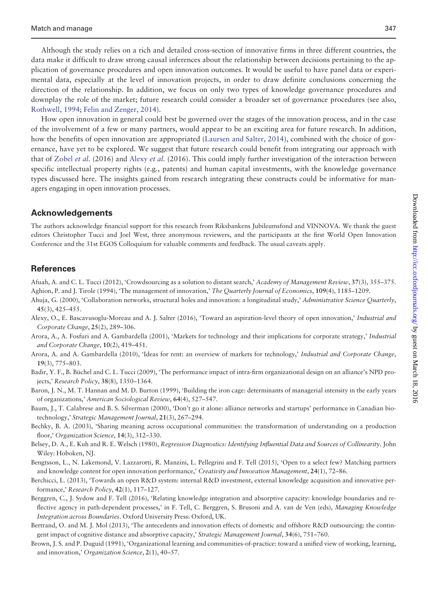<span id="page-14-0"></span>Although the study relies on a rich and detailed cross-section of innovative firms in three different countries, the data make it difficult to draw strong causal inferences about the relationship between decisions pertaining to the application of governance procedures and open innovation outcomes. It would be useful to have panel data or experimental data, especially at the level of innovation projects, in order to draw definite conclusions concerning the direction of the relationship. In addition, we focus on only two types of knowledge governance procedures and downplay the role of the market; future research could consider a broader set of governance procedures (see also, [Rothwell, 1994](#page-17-0); [Felin and Zenger, 2014\)](#page-15-0).

How open innovation in general could best be governed over the stages of the innovation process, and in the case of the involvement of a few or many partners, would appear to be an exciting area for future research. In addition, how the benefits of open innovation are appropriated ([Laursen and Salter, 2014](#page-16-0)), combined with the choice of governance, have yet to be explored. We suggest that future research could benefit from integrating our approach with that of [Zobel](#page-17-0) et al. [\(2016\)](#page-17-0) and Alexy et al. (2016). This could imply further investigation of the interaction between specific intellectual property rights (e.g., patents) and human capital investments, with the knowledge governance types discussed here. The insights gained from research integrating these constructs could be informative for managers engaging in open innovation processes.

#### Acknowledgements

The authors acknowledge financial support for this research from Riksbankens Jubileumsfond and VINNOVA. We thank the guest editors Christopher Tucci and Joel West, three anonymous reviewers, and the participants at the first World Open Innovation Conference and the 31st EGOS Colloquium for valuable comments and feedback. The usual caveats apply.

#### **References**

- Afuah, A. and C. L. Tucci (2012), 'Crowdsourcing as a solution to distant search,' Academy of Management Review, 37(3), 355–375. Aghion, P. and J. Tirole (1994), 'The management of innovation,' The Quarterly Journal of Economics, 109(4), 1185–1209.
- Ahuja, G. (2000), 'Collaboration networks, structural holes and innovation: a longitudinal study,' Administrative Science Quarterly, 45(3), 425–455.
- Alexy, O., E. Bascavusoglu-Moreau and A. J. Salter (2016), 'Toward an aspiration-level theory of open innovation,' Industrial and Corporate Change, 25(2), 289–306.
- Arora, A., A. Fosfuri and A. Gambardella (2001), 'Markets for technology and their implications for corporate strategy,' Industrial and Corporate Change, 10(2), 419–451.
- Arora, A. and A. Gambardella (2010), 'Ideas for rent: an overview of markets for technology,' Industrial and Corporate Change, 19(3), 775–803.
- Badir, Y. F., B. Büchel and C. L. Tucci (2009), 'The performance impact of intra-firm organizational design on an alliance's NPD projects,' Research Policy, 38(8), 1350–1364.
- Baron, J. N., M. T. Hannan and M. D. Burton (1999), 'Building the iron cage: determinants of managerial intensity in the early years of organizations,' American Sociological Review, 64(4), 527–547.
- Baum, J., T. Calabrese and B. S. Silverman (2000), 'Don't go it alone: alliance networks and startups' performance in Canadian biotechnology,' Strategic Management Journal, 21(3), 267–294.
- Bechky, B. A. (2003), 'Sharing meaning across occupational communities: the transformation of understanding on a production floor,' Organization Science, 14(3), 312–330.
- Belsey, D. A., E. Kuh and R. E. Welsch (1980), Regression Diagnostics: Identifying Influential Data and Sources of Collinearity. John Wiley: Hoboken, NJ.
- Bengtsson, L., N. Lakemond, V. Lazzarotti, R. Manzini, L. Pellegrini and F. Tell (2015), 'Open to a select few? Matching partners and knowledge content for open innovation performance,' Creativity and Innovation Management, 24(1), 72-86.
- Berchicci, L. (2013), 'Towards an open R&D system: internal R&D investment, external knowledge acquisition and innovative performance,' Research Policy, 42(1), 117–127.
- Berggren, C., J. Sydow and F. Tell (2016), 'Relating knowledge integration and absorptive capacity: knowledge boundaries and reflective agency in path-dependent processes,' in F. Tell, C. Berggren, S. Brusoni and A. van de Ven (eds), Managing Knowledge Integration across Boundaries. Oxford University Press: Oxford, UK.
- Bertrand, O. and M. J. Mol (2013), 'The antecedents and innovation effects of domestic and offshore R&D outsourcing: the contingent impact of cognitive distance and absorptive capacity,' Strategic Management Journal, 34(6), 751–760.
- Brown, J. S. and P. Duguid (1991), 'Organizational learning and communities-of-practice: toward a unified view of working, learning, and innovation,' Organization Science, 2(1), 40–57.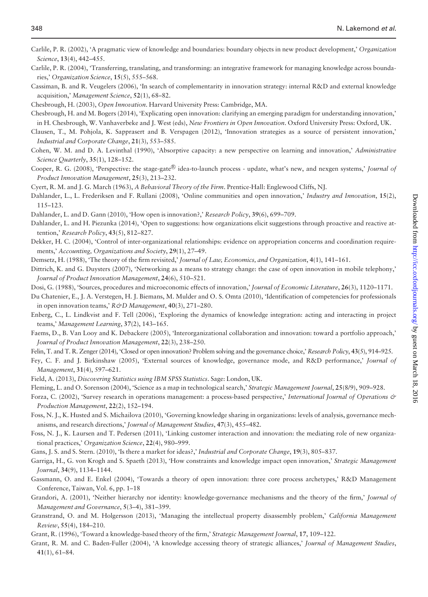- <span id="page-15-0"></span>Carlile, P. R. (2002), 'A pragmatic view of knowledge and boundaries: boundary objects in new product development,' Organization Science, 13(4), 442–455.
- Carlile, P. R. (2004), 'Transferring, translating, and transforming: an integrative framework for managing knowledge across boundaries,' Organization Science, 15(5), 555–568.
- Cassiman, B. and R. Veugelers (2006), 'In search of complementarity in innovation strategy: internal R&D and external knowledge acquisition,' Management Science, 52(1), 68–82.

Chesbrough, H. (2003), Open Innovation. Harvard University Press: Cambridge, MA.

Chesbrough, H. and M. Bogers (2014), 'Explicating open innovation: clarifying an emerging paradigm for understanding innovation,' in H. Chesbrough, W. Vanhaverbeke and J. West (eds), New Frontiers in Open Innovation. Oxford University Press: Oxford, UK.

- Clausen, T., M. Pohjola, K. Sapprasert and B. Verspagen (2012), 'Innovation strategies as a source of persistent innovation,' Industrial and Corporate Change, 21(3), 553–585.
- Cohen, W. M. and D. A. Levinthal (1990), 'Absorptive capacity: a new perspective on learning and innovation,' Administrative Science Quarterly, 35(1), 128–152.
- Cooper, R. G. (2008), 'Perspective: the stage-gate® idea-to-launch process update, what's new, and nexgen systems,' Journal of Product Innovation Management, 25(3), 213–232.

Cyert, R. M. and J. G. March (1963), A Behavioral Theory of the Firm. Prentice-Hall: Englewood Cliffs, NJ.

Dahlander, L., L. Frederiksen and F. Rullani (2008), 'Online communities and open innovation,' Industry and Innovation, 15(2), 115–123.

Dahlander, L. and D. Gann (2010), 'How open is innovation?,' Research Policy, 39(6), 699–709.

- Dahlander, L. and H. Piezunka (2014), 'Open to suggestions: how organizations elicit suggestions through proactive and reactive attention,' Research Policy, 43(5), 812–827.
- Dekker, H. C. (2004), 'Control of inter-organizational relationships: evidence on appropriation concerns and coordination requirements,' Accounting, Organizations and Society, 29(1), 27–49.

Demsetz, H. (1988), 'The theory of the firm revisited,' Journal of Law, Economics, and Organization, 4(1), 141–161.

Dittrich, K. and G. Duysters (2007), 'Networking as a means to strategy change: the case of open innovation in mobile telephony,' Journal of Product Innovation Management, 24(6), 510–521.

Dosi, G. (1988), 'Sources, procedures and microeconomic effects of innovation,' Journal of Economic Literature, 26(3), 1120-1171.

- Du Chatenier, E., J. A. Verstegen, H. J. Biemans, M. Mulder and O. S. Omta (2010), 'Identification of competencies for professionals in open innovation teams,' R&D Management, 40(3), 271-280.
- Enberg, C., L. Lindkvist and F. Tell (2006), 'Exploring the dynamics of knowledge integration: acting and interacting in project teams,' Management Learning, 37(2), 143–165.
- Faems, D., B. Van Looy and K. Debackere (2005), 'Interorganizational collaboration and innovation: toward a portfolio approach,' Journal of Product Innovation Management, 22(3), 238–250.
- Felin, T. and T. R. Zenger (2014), 'Closed or open innovation? Problem solving and the governance choice,' Research Policy, 43(5), 914–925.
- Fey, C. F. and J. Birkinshaw (2005), 'External sources of knowledge, governance mode, and R&D performance,' Journal of Management, 31(4), 597–621.
- Field, A. (2013), Discovering Statistics using IBM SPSS Statistics. Sage: London, UK.
- Fleming, L. and O. Sorenson (2004), 'Science as a map in technological search,' Strategic Management Journal, 25(8/9), 909–928.
- Forza, C. (2002), 'Survey research in operations management: a process-based perspective,' International Journal of Operations & Production Management, 22(2), 152–194.
- Foss, N. J., K. Husted and S. Michailova (2010), 'Governing knowledge sharing in organizations: levels of analysis, governance mechanisms, and research directions,' Journal of Management Studies, 47(3), 455-482.
- Foss, N. J., K. Laursen and T. Pedersen (2011), 'Linking customer interaction and innovation: the mediating role of new organizational practices,' Organization Science, 22(4), 980–999.

Gans, J. S. and S. Stern. (2010), 'Is there a market for ideas?,' Industrial and Corporate Change, 19(3), 805–837.

- Garriga, H., G. von Krogh and S. Spaeth (2013), 'How constraints and knowledge impact open innovation,' Strategic Management Journal, 34(9), 1134–1144.
- Gassmann, O. and E. Enkel (2004), 'Towards a theory of open innovation: three core process archetypes,' R&D Management Conference, Taiwan, Vol. 6, pp. 1–18
- Grandori, A. (2001), 'Neither hierarchy nor identity: knowledge-governance mechanisms and the theory of the firm,' Journal of Management and Governance, 5(3–4), 381–399.
- Granstrand, O. and M. Holgersson (2013), 'Managing the intellectual property disassembly problem,' California Management Review, 55(4), 184–210.
- Grant, R. (1996), 'Toward a knowledge-based theory of the firm,' Strategic Management Journal, 17, 109–122.
- Grant, R. M. and C. Baden-Fuller (2004), 'A knowledge accessing theory of strategic alliances,' Journal of Management Studies, 41(1), 61–84.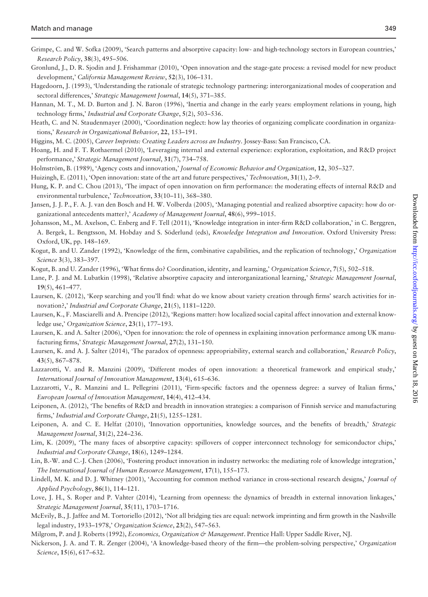- <span id="page-16-0"></span>Grimpe, C. and W. Sofka (2009), 'Search patterns and absorptive capacity: low- and high-technology sectors in European countries,' Research Policy, 38(3), 495–506.
- Gronlund, J., D. R. Sjodin and J. Frishammar (2010), 'Open innovation and the stage-gate process: a revised model for new product development,' California Management Review, 52(3), 106–131.
- Hagedoorn, J. (1993), 'Understanding the rationale of strategic technology partnering: interorganizational modes of cooperation and sectoral differences,' Strategic Management Journal, 14(5), 371-385.
- Hannan, M. T., M. D. Burton and J. N. Baron (1996), 'Inertia and change in the early years: employment relations in young, high technology firms,' Industrial and Corporate Change, 5(2), 503–536.
- Heath, C. and N. Staudenmayer (2000), 'Coordination neglect: how lay theories of organizing complicate coordination in organizations,' Research in Organizational Behavior, 22, 153–191.
- Higgins, M. C. (2005), Career Imprints: Creating Leaders across an Industry. Jossey-Bass: San Francisco, CA.
- Hoang, H. and F. T. Rothaermel (2010), 'Leveraging internal and external experience: exploration, exploitation, and R&D project performance,' Strategic Management Journal, 31(7), 734–758.
- Holmström, B. (1989), 'Agency costs and innovation,' Journal of Economic Behavior and Organization, 12, 305-327.
- Huizingh, E. (2011), 'Open innovation: state of the art and future perspectives,' Technovation, 31(1), 2–9.
- Hung, K. P. and C. Chou (2013), 'The impact of open innovation on firm performance: the moderating effects of internal R&D and environmental turbulence,' Technovation, 33(10-11), 368-380.
- Jansen, J. J. P., F. A. J. van den Bosch and H. W. Volberda (2005), 'Managing potential and realized absorptive capacity: how do organizational antecedents matter?,' Academy of Management Journal, 48(6), 999–1015.
- Johansson, M., M. Axelson, C. Enberg and F. Tell (2011), 'Knowledge integration in inter-firm R&D collaboration,' in C. Berggren, A. Bergek, L. Bengtsson, M. Hobday and S. Söderlund (eds), Knowledge Integration and Innovation. Oxford University Press: Oxford, UK, pp. 148–169.
- Kogut, B. and U. Zander (1992), 'Knowledge of the firm, combinative capabilities, and the replication of technology,' Organization Science 3(3), 383–397.
- Kogut, B. and U. Zander (1996), 'What firms do? Coordination, identity, and learning,' Organization Science, 7(5), 502–518.
- Lane, P. J. and M. Lubatkin (1998), 'Relative absorptive capacity and interorganizational learning,' Strategic Management Journal, 19(5), 461–477.
- Laursen, K. (2012), 'Keep searching and you'll find: what do we know about variety creation through firms' search activities for innovation?,' Industrial and Corporate Change, 21(5), 1181–1220.
- Laursen, K., F. Masciarelli and A. Prencipe (2012), 'Regions matter: how localized social capital affect innovation and external knowledge use,' Organization Science, 23(1), 177–193.
- Laursen, K. and A. Salter (2006), 'Open for innovation: the role of openness in explaining innovation performance among UK manufacturing firms,' Strategic Management Journal, 27(2), 131–150.
- Laursen, K. and A. J. Salter (2014), 'The paradox of openness: appropriability, external search and collaboration,' Research Policy, 43(5), 867–878.
- Lazzarotti, V. and R. Manzini (2009), 'Different modes of open innovation: a theoretical framework and empirical study,' International Journal of Innovation Management, 13(4), 615–636.
- Lazzarotti, V., R. Manzini and L. Pellegrini (2011), 'Firm-specific factors and the openness degree: a survey of Italian firms,' European Journal of Innovation Management, 14(4), 412–434.
- Leiponen, A. (2012), 'The benefits of R&D and breadth in innovation strategies: a comparison of Finnish service and manufacturing firms,' Industrial and Corporate Change, 21(5), 1255–1281.
- Leiponen, A. and C. E. Helfat (2010), 'Innovation opportunities, knowledge sources, and the benefits of breadth,' Strategic Management Journal, 31(2), 224–236.
- Lim, K. (2009), 'The many faces of absorptive capacity: spillovers of copper interconnect technology for semiconductor chips,' Industrial and Corporate Change, 18(6), 1249–1284.
- Lin, B.-W. and C.-J. Chen (2006), 'Fostering product innovation in industry networks: the mediating role of knowledge integration,' The International Journal of Human Resource Management, 17(1), 155–173.
- Lindell, M. K. and D. J. Whitney (2001), 'Accounting for common method variance in cross-sectional research designs,' Journal of Applied Psychology, 86(1), 114–121.
- Love, J. H., S. Roper and P. Vahter (2014), 'Learning from openness: the dynamics of breadth in external innovation linkages,' Strategic Management Journal, 35(11), 1703–1716.
- McEvily, B., J. Jaffee and M. Tortoriello (2012), 'Not all bridging ties are equal: network imprinting and firm growth in the Nashville legal industry, 1933–1978,' Organization Science, 23(2), 547–563.
- Milgrom, P. and J. Roberts (1992), Economics, Organization & Management. Prentice Hall: Upper Saddle River, NJ.
- Nickerson, J. A. and T. R. Zenger (2004), 'A knowledge-based theory of the firm—the problem-solving perspective,' Organization Science, 15(6), 617–632.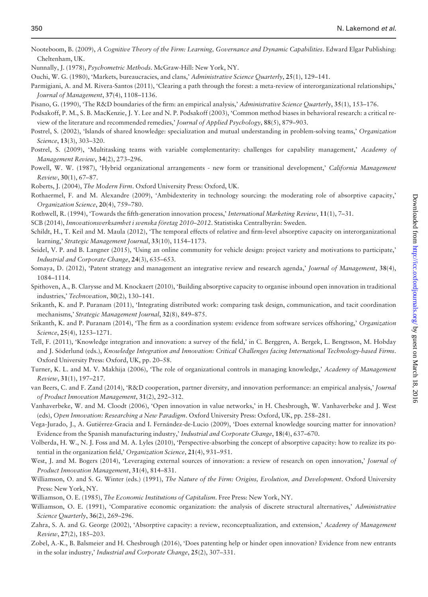- <span id="page-17-0"></span>Nooteboom, B. (2009), A Cognitive Theory of the Firm: Learning, Governance and Dynamic Capabilities. Edward Elgar Publishing: Cheltenham, UK.
- Nunnally, J. (1978), Psychometric Methods. McGraw-Hill: New York, NY.
- Ouchi, W. G. (1980), 'Markets, bureaucracies, and clans,' Administrative Science Quarterly, 25(1), 129–141.
- Parmigiani, A. and M. Rivera-Santos (2011), 'Clearing a path through the forest: a meta-review of interorganizational relationships,' Journal of Management, 37(4), 1108–1136.
- Pisano, G. (1990), 'The R&D boundaries of the firm: an empirical analysis,' Administrative Science Quarterly, 35(1), 153–176.
- Podsakoff, P. M., S. B. MacKenzie, J. Y. Lee and N. P. Podsakoff (2003), 'Common method biases in behavioral research: a critical review of the literature and recommended remedies,' Journal of Applied Psychology, 88(5), 879–903.
- Postrel, S. (2002), 'Islands of shared knowledge: specialization and mutual understanding in problem-solving teams,' Organization Science, 13(3), 303–320.
- Postrel, S. (2009), 'Multitasking teams with variable complementarity: challenges for capability management,' Academy of Management Review, 34(2), 273–296.
- Powell, W. W. (1987), 'Hybrid organizational arrangements new form or transitional development,' California Management Review, 30(1), 67–87.
- Roberts, J. (2004), The Modern Firm. Oxford University Press: Oxford, UK.
- Rothaermel, F. and M. Alexandre (2009), 'Ambidexterity in technology sourcing: the moderating role of absorptive capacity,' Organization Science, 20(4), 759–780.
- Rothwell, R. (1994), 'Towards the fifth-generation innovation process,' International Marketing Review, 11(1), 7–31.
- SCB (2014), Innovationsverksamhet i svenska företag 2010–2012. Statistiska Centralbyrån: Sweden.
- Schildt, H., T. Keil and M. Maula (2012), 'The temporal effects of relative and firm-level absorptive capacity on interorganizational learning,' Strategic Management Journal, 33(10), 1154–1173.
- Seidel, V. P. and B. Langner (2015), 'Using an online community for vehicle design: project variety and motivations to participate,' Industrial and Corporate Change, 24(3), 635–653.
- Somaya, D. (2012), 'Patent strategy and management an integrative review and research agenda,' Journal of Management, 38(4), 1084–1114.
- Spithoven, A., B. Clarysse and M. Knockaert (2010), 'Building absorptive capacity to organise inbound open innovation in traditional industries,' Technovation, 30(2), 130–141.
- Srikanth, K. and P. Puranam (2011), 'Integrating distributed work: comparing task design, communication, and tacit coordination mechanisms,' Strategic Management Journal, 32(8), 849–875.
- Srikanth, K. and P. Puranam (2014), 'The firm as a coordination system: evidence from software services offshoring,' Organization Science, 25(4), 1253–1271.
- Tell, F. (2011), 'Knowledge integration and innovation: a survey of the field,' in C. Berggren, A. Bergek, L. Bengtsson, M. Hobday and J. Söderlund (eds.), Knowledge Integration and Innovation: Critical Challenges facing International Technology-based Firms. Oxford University Press: Oxford, UK, pp. 20–58.
- Turner, K. L. and M. V. Makhija (2006), 'The role of organizational controls in managing knowledge,' Academy of Management Review, 31(1), 197–217.
- van Beers, C. and F. Zand (2014), 'R&D cooperation, partner diversity, and innovation performance: an empirical analysis,' Journal of Product Innovation Management, 31(2), 292–312.
- Vanhaverbeke, W. and M. Cloodt (2006), 'Open innovation in value networks,' in H. Chesbrough, W. Vanhaverbeke and J. West (eds), Open Innovation: Researching a New Paradigm. Oxford University Press: Oxford, UK, pp. 258–281.
- Vega-Jurado, J., A. Gutiérrez-Gracia and I. Fernández-de-Lucio (2009), 'Does external knowledge sourcing matter for innovation? Evidence from the Spanish manufacturing industry,' Industrial and Corporate Change, 18(4), 637–670.
- Volberda, H. W., N. J. Foss and M. A. Lyles (2010), 'Perspective-absorbing the concept of absorptive capacity: how to realize its potential in the organization field,' Organization Science, 21(4), 931–951.
- West, J. and M. Bogers (2014), 'Leveraging external sources of innovation: a review of research on open innovation,' Journal of Product Innovation Management, 31(4), 814–831.
- Williamson, O. and S. G. Winter (eds.) (1991), The Nature of the Firm: Origins, Evolution, and Development. Oxford University Press: New York, NY.
- Williamson, O. E. (1985), The Economic Institutions of Capitalism. Free Press: New York, NY.
- Williamson, O. E. (1991), 'Comparative economic organization: the analysis of discrete structural alternatives,' Administrative Science Quarterly, 36(2), 269–296.
- Zahra, S. A. and G. George (2002), 'Absorptive capacity: a review, reconceptualization, and extension,' Academy of Management Review, 27(2), 185–203.
- Zobel, A.-K., B. Balsmeier and H. Chesbrough (2016), 'Does patenting help or hinder open innovation? Evidence from new entrants in the solar industry,' Industrial and Corporate Change, 25(2), 307–331.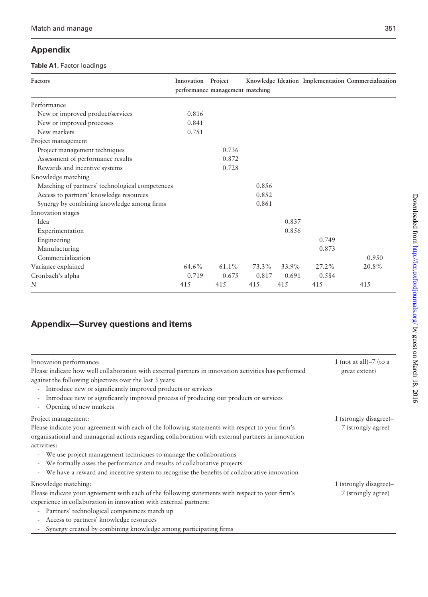# <span id="page-18-0"></span>Appendix

Table A1. Factor loadings

| Factors                                         | Innovation Project | performance management matching |       |       |          | Knowledge Ideation Implementation Commercialization |
|-------------------------------------------------|--------------------|---------------------------------|-------|-------|----------|-----------------------------------------------------|
| Performance                                     |                    |                                 |       |       |          |                                                     |
| New or improved product/services                | 0.816              |                                 |       |       |          |                                                     |
| New or improved processes                       | 0.841              |                                 |       |       |          |                                                     |
| New markets                                     | 0.751              |                                 |       |       |          |                                                     |
| Project management                              |                    |                                 |       |       |          |                                                     |
| Project management techniques                   |                    | 0.736                           |       |       |          |                                                     |
| Assessment of performance results               |                    | 0.872                           |       |       |          |                                                     |
| Rewards and incentive systems                   |                    | 0.728                           |       |       |          |                                                     |
| Knowledge matching                              |                    |                                 |       |       |          |                                                     |
| Matching of partners' technological competences |                    |                                 | 0.856 |       |          |                                                     |
| Access to partners' knowledge resources         |                    |                                 | 0.852 |       |          |                                                     |
| Synergy by combining knowledge among firms      |                    |                                 | 0.861 |       |          |                                                     |
| Innovation stages                               |                    |                                 |       |       |          |                                                     |
| Idea                                            |                    |                                 |       | 0.837 |          |                                                     |
| Experimentation                                 |                    |                                 |       | 0.856 |          |                                                     |
| Engineering                                     |                    |                                 |       |       | 0.749    |                                                     |
| Manufacturing                                   |                    |                                 |       |       | 0.873    |                                                     |
| Commercialization                               |                    |                                 |       |       |          | 0.950                                               |
| Variance explained                              | 64.6%              | $61.1\%$                        | 73.3% | 33.9% | $27.2\%$ | 20.8%                                               |
| Cronbach's alpha                                | 0.719              | 0.675                           | 0.817 | 0.691 | 0.584    |                                                     |
| $\overline{N}$                                  | 415                | 415                             | 415   | 415   | 415      | 415                                                 |

# Appendix—Survey questions and items

| Innovation performance:                                                                               | 1 (not at all) $-7$ (to a |
|-------------------------------------------------------------------------------------------------------|---------------------------|
| Please indicate how well collaboration with external partners in innovation activities has performed  | great extent)             |
| against the following objectives over the last 3 years:                                               |                           |
| - Introduce new or significantly improved products or services                                        |                           |
| Introduce new or significantly improved process of producing our products or services<br>$\sim$       |                           |
| Opening of new markets<br>$\sim$                                                                      |                           |
| Project management:                                                                                   | 1 (strongly disagree)-    |
| Please indicate your agreement with each of the following statements with respect to your firm's      | 7 (strongly agree)        |
| organisational and managerial actions regarding collaboration with external partners in innovation    |                           |
| activities:                                                                                           |                           |
| - We use project management techniques to manage the collaborations                                   |                           |
| We formally asses the performance and results of collaborative projects<br>$\sim$                     |                           |
| We have a reward and incentive system to recognise the benefits of collaborative innovation<br>$\sim$ |                           |
| Knowledge matching:                                                                                   | 1 (strongly disagree) $-$ |
| Please indicate your agreement with each of the following statements with respect to your firm's      | 7 (strongly agree)        |
| experience in collaboration in innovation with external partners:                                     |                           |
| - Partners' technological competences match up                                                        |                           |

- Access to partners' knowledge resources
- Synergy created by combining knowledge among participating firms